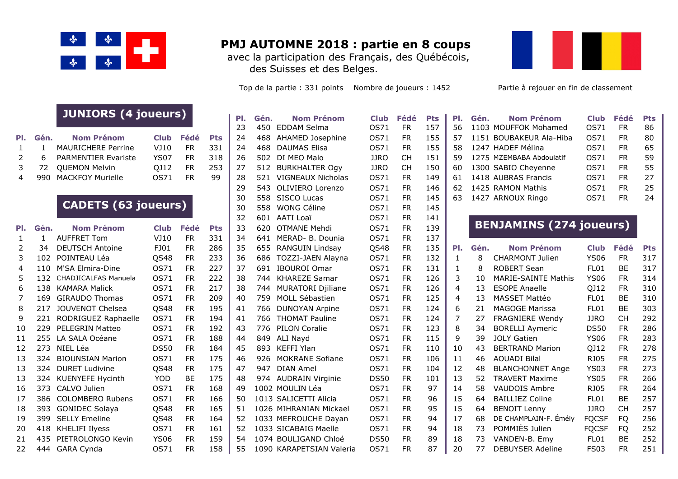

## **PMJ AUTOMNE 2018 : partie en 8 coups**

avec la participation des Français, des Québécois, des Suisses et des Belges.

Top de la partie : 331 points Nombre de joueurs : 1452 Partie à rejouer en fin de classement



## **JUNIORS (4 joueurs)**

|  |                         |      |      |  | <b>AU HUU LUUAN JEILIIA</b>           | יטנ∎ וכב או דוכט |      |               |  |
|--|-------------------------|------|------|--|---------------------------------------|------------------|------|---------------|--|
|  | Pl. Gén. Nom Prénom     |      |      |  | Club Fédé Pts 24 468 AHAMED Josephine | OS71 FR          |      | 155   57 1151 |  |
|  | 1 1 MAURICHERE Perrine  | VJ10 |      |  | FR $331$ 24 468 DAUMAS Elisa          | OS71 FR          |      | 155 58 1247   |  |
|  | 2 6 PARMENTIER Evariste | YS07 | FR 1 |  | 318 26 502 DI MEO Malo                | JJRO CH          |      | 151   59 1275 |  |
|  | 3 72 QUEMON Melvin      |      |      |  | QJ12 FR 253 27 512 BURKHALTER Ogy     | JJRO             | CH . | 150 60 1300   |  |
|  | 4 990 MACKFOY Murielle  | OS71 | FR 1 |  | 99 28 521 VIGNEAUX Nicholas           | OS71 FR          |      | 149 61 1418   |  |
|  |                         |      |      |  |                                       |                  |      |               |  |

## **CADETS (63 joueurs)**

|     |      |                             |             |           |            | ے ر |      | AAII LUGI                  | 777 -       |           | ᆠᅮᆠ |     |      |                                |              |           |            |
|-----|------|-----------------------------|-------------|-----------|------------|-----|------|----------------------------|-------------|-----------|-----|-----|------|--------------------------------|--------------|-----------|------------|
| PI. | Gén. | <b>Nom Prénom</b>           | <b>Club</b> | Fédé      | <b>Pts</b> | 33  | 620  | OTMANE Mehdi               | OS71        | <b>FR</b> | 139 |     |      | <b>BENJAMINS (274 joueurs)</b> |              |           |            |
|     |      | <b>AUFFRET Tom</b>          | VJ10        | <b>FR</b> | 331        | 34  | 641  | MERAD- B. Dounia           | OS71        | <b>FR</b> | 137 |     |      |                                |              |           |            |
|     | 34   | <b>DEUTSCH Antoine</b>      | FJ01        | <b>FR</b> | 286        | 35  | 655  | RANGUIN Lindsay            | QS48        | <b>FR</b> | 135 | PI. | Gén. | <b>Nom Prénom</b>              | <b>Club</b>  | Fédé      | <b>Pts</b> |
| 3   | 102  | POINTEAU Léa                | QS48        | <b>FR</b> | 233        | 36  | 686  | TOZZI-JAEN Alayna          | OS71        | <b>FR</b> | 132 |     | 8    | <b>CHARMONT Julien</b>         | <b>YS06</b>  | <b>FR</b> | 317        |
| 4   | 110  | M'SA Elmira-Dine            | OS71        | <b>FR</b> | 227        | 37  | 691  | IBOUROI Omar               | OS71        | <b>FR</b> | 131 |     | 8    | <b>ROBERT Sean</b>             | FL01         | <b>BE</b> | 317        |
|     | 132  | <b>CHADJICALFAS Manuela</b> | OS71        | <b>FR</b> | 222        | 38  | 744  | <b>KHAREZE Samar</b>       | OS71        | <b>FR</b> | 126 | 3.  | 10   | <b>MARIE-SAINTE Mathis</b>     | <b>YS06</b>  | <b>FR</b> | 314        |
| 6   | 138  | <b>KAMARA Malick</b>        | OS71        | FR.       | 217        | 38  | 744  | <b>MURATORI Djiliane</b>   | OS71        | FR.       | 126 | 4   | 13   | <b>ESOPE Anaelle</b>           | QJ12         | FR.       | 310        |
|     | 169  | <b>GIRAUDO Thomas</b>       | OS71        | <b>FR</b> | 209        | 40  | 759  | MOLL Sébastien             | OS71        | <b>FR</b> | 125 | 4   | 13   | MASSET Mattéo                  | FL01         | <b>BE</b> | 310        |
| 8   | 217  | JOUVENOT Chelsea            | QS48        | <b>FR</b> | 195        | 41  | 766  | <b>DUNOYAN Arpine</b>      | OS71        | <b>FR</b> | 124 | 6   | 21   | <b>MAGOGE Marissa</b>          | FL01         | <b>BE</b> | 303        |
| 9   | 221  | RODRIGUEZ Raphaelle         | OS71        | <b>FR</b> | 194        | 41  | 766  | <b>THOMAT Pauline</b>      | OS71        | <b>FR</b> | 124 |     | 27   | <b>FRAGNIERE Wendy</b>         | <b>JJRO</b>  | <b>CH</b> | 292        |
| 10  | 229  | <b>PELEGRIN Matteo</b>      | OS71        | <b>FR</b> | 192        | 43  |      | 776 PILON Coralie          | OS71        | <b>FR</b> | 123 | 8   | 34   | <b>BORELLI Aymeric</b>         | <b>DS50</b>  | <b>FR</b> | 286        |
| 11  | 255  | LA SALA Océane              | OS71        | <b>FR</b> | 188        | 44  | 849  | ALI Nayd                   | OS71        | <b>FR</b> | 115 | 9   | 39   | <b>JOLY Gatien</b>             | <b>YS06</b>  | <b>FR</b> | 283        |
| 12  | 273  | NIEL Léa                    | <b>DS50</b> | <b>FR</b> | 184        | 45  | 893  | KEFFI Ylan                 | OS71        | <b>FR</b> | 110 | 10  | 43   | <b>BERTRAND Marion</b>         | QJ12         | <b>FR</b> | 278        |
| 13  | 324  | <b>BIOUNSIAN Marion</b>     | OS71        | <b>FR</b> | 175        | 46  | 926  | <b>MOKRANE Sofiane</b>     | OS71        | <b>FR</b> | 106 | 11  | 46   | <b>AOUADI Bilal</b>            | <b>RJ05</b>  | <b>FR</b> | 275        |
| 13  | 324  | <b>DURET Ludivine</b>       | QS48        | <b>FR</b> | 175        | 47  | 947  | DIAN Amel                  | <b>OS71</b> | <b>FR</b> | 104 | 12  | 48   | <b>BLANCHONNET Ange</b>        | <b>YS03</b>  | <b>FR</b> | 273        |
| 13  | 324  | KUENYEFE Hycinth            | <b>YOD</b>  | BE.       | 175        | 48  |      | 974 AUDRAIN Virginie       | <b>DS50</b> | FR.       | 101 | 13  | 52.  | <b>TRAVERT Maxime</b>          | <b>YS05</b>  | FR.       | 266        |
| 16  | 373  | CALVO Julien                | OS71        | <b>FR</b> | 168        | 49  |      | 1002 MOULIN Léa            | OS71        | <b>FR</b> | 97  | 14  | 58   | VAUDOIS Ambre                  | <b>RJ05</b>  | <b>FR</b> | 264        |
| 17  | 386. | <b>COLOMBERO Rubens</b>     | <b>0S71</b> | <b>FR</b> | 166        | 50  |      | 1013 SALICETTI Alicia      | <b>OS71</b> | FR.       | 96  | 15  | 64   | <b>BAILLIEZ Coline</b>         | FL01         | <b>BE</b> | 257        |
| 18  | 393  | <b>GONIDEC Solaya</b>       | QS48        | <b>FR</b> | 165        | 51. |      | 1026 MIHRANIAN Mickael     | OS71        | <b>FR</b> | 95  | 15  | 64   | <b>BENOIT Lenny</b>            | <b>JJRO</b>  | <b>CH</b> | 257        |
| 19  | 399  | <b>SELLY Emeline</b>        | QS48        | <b>FR</b> | 164        | 52  |      | 1033 MEFROUCHE Dayan       | OS71        | <b>FR</b> | 94  | 17  | 68   | DE CHAMPLAIN-F. Émély          | <b>FQCSF</b> | FQ        | 256        |
| 20  | 418  | KHELIFI Ilyess              | OS71        | FR.       | 161        | 52  |      | 1033 SICABAIG Maelle       | OS71        | <b>FR</b> | 94  | 18  | 73   | POMMIÈS Julien                 | <b>FQCSF</b> | FQ        | 252        |
| 21  | 435  | PIETROLONGO Kevin           | <b>YS06</b> | <b>FR</b> | 159        | 54  |      | 1074 BOULIGAND Chloé       | <b>DS50</b> | <b>FR</b> | 89  | 18  | 73   | VANDEN-B. Emv                  | FL01         | <b>BE</b> | 252        |
| 22  | 444  | <b>GARA Cynda</b>           | OS71        | <b>FR</b> | 58         | 55  | 1090 | <b>KARAPETSIAN Valeria</b> | OS71        | <b>FR</b> | 87  | 20  | 77   | <b>DEBUYSER Adeline</b>        | <b>FS03</b>  | <b>FR</b> | 251        |

|    |                                                     |                          |                                                                                                                                                                                                                                                                                                                                                                                                                                                                                                                                                                                                                         |                                                                            | ۲τs                                                                        |
|----|-----------------------------------------------------|--------------------------|-------------------------------------------------------------------------------------------------------------------------------------------------------------------------------------------------------------------------------------------------------------------------------------------------------------------------------------------------------------------------------------------------------------------------------------------------------------------------------------------------------------------------------------------------------------------------------------------------------------------------|----------------------------------------------------------------------------|----------------------------------------------------------------------------|
| 23 |                                                     |                          | OS71                                                                                                                                                                                                                                                                                                                                                                                                                                                                                                                                                                                                                    | FR.                                                                        | 157                                                                        |
| 24 |                                                     |                          | OS71                                                                                                                                                                                                                                                                                                                                                                                                                                                                                                                                                                                                                    | <b>FR</b>                                                                  | 155                                                                        |
| 24 |                                                     | <b>DAUMAS Elisa</b>      | OS71                                                                                                                                                                                                                                                                                                                                                                                                                                                                                                                                                                                                                    | <b>FR</b>                                                                  | 155                                                                        |
| 26 |                                                     | DI MEO Malo              | <b>JJRO</b>                                                                                                                                                                                                                                                                                                                                                                                                                                                                                                                                                                                                             | <b>CH</b>                                                                  | 151                                                                        |
| 27 |                                                     |                          |                                                                                                                                                                                                                                                                                                                                                                                                                                                                                                                                                                                                                         | <b>CH</b>                                                                  | 150                                                                        |
| 28 |                                                     |                          | OS71                                                                                                                                                                                                                                                                                                                                                                                                                                                                                                                                                                                                                    | <b>FR</b>                                                                  | 149                                                                        |
| 29 |                                                     | OLIVIERO Lorenzo         | OS71                                                                                                                                                                                                                                                                                                                                                                                                                                                                                                                                                                                                                    | FR.                                                                        | 146                                                                        |
| 30 |                                                     | SISCO Lucas              | OS71                                                                                                                                                                                                                                                                                                                                                                                                                                                                                                                                                                                                                    | <b>FR</b>                                                                  | 145                                                                        |
| 30 |                                                     |                          | OS71                                                                                                                                                                                                                                                                                                                                                                                                                                                                                                                                                                                                                    | <b>FR</b>                                                                  | 145                                                                        |
| 32 |                                                     |                          | OS71                                                                                                                                                                                                                                                                                                                                                                                                                                                                                                                                                                                                                    | <b>FR</b>                                                                  | 141                                                                        |
| 33 |                                                     | <b>OTMANE Mehdi</b>      | OS71                                                                                                                                                                                                                                                                                                                                                                                                                                                                                                                                                                                                                    | <b>FR</b>                                                                  | 139                                                                        |
| 34 |                                                     |                          | OS71                                                                                                                                                                                                                                                                                                                                                                                                                                                                                                                                                                                                                    | FR.                                                                        | 137                                                                        |
| 35 |                                                     |                          |                                                                                                                                                                                                                                                                                                                                                                                                                                                                                                                                                                                                                         | <b>FR</b>                                                                  | 135                                                                        |
| 36 |                                                     |                          | OS71                                                                                                                                                                                                                                                                                                                                                                                                                                                                                                                                                                                                                    | <b>FR</b>                                                                  | 132                                                                        |
| 37 | 691                                                 | <b>IBOUROI Omar</b>      | OS71                                                                                                                                                                                                                                                                                                                                                                                                                                                                                                                                                                                                                    | <b>FR</b>                                                                  | 131                                                                        |
| 38 |                                                     |                          | OS71                                                                                                                                                                                                                                                                                                                                                                                                                                                                                                                                                                                                                    | <b>FR</b>                                                                  | 126                                                                        |
| 38 |                                                     | <b>MURATORI Djiliane</b> | OS71                                                                                                                                                                                                                                                                                                                                                                                                                                                                                                                                                                                                                    | <b>FR</b>                                                                  | 126                                                                        |
| 40 |                                                     | MOLL Sébastien           |                                                                                                                                                                                                                                                                                                                                                                                                                                                                                                                                                                                                                         | <b>FR</b>                                                                  | 125                                                                        |
|    |                                                     |                          |                                                                                                                                                                                                                                                                                                                                                                                                                                                                                                                                                                                                                         |                                                                            | 124                                                                        |
| 41 |                                                     |                          | OS71                                                                                                                                                                                                                                                                                                                                                                                                                                                                                                                                                                                                                    | <b>FR</b>                                                                  | 124                                                                        |
|    |                                                     |                          |                                                                                                                                                                                                                                                                                                                                                                                                                                                                                                                                                                                                                         | <b>FR</b>                                                                  | 123                                                                        |
|    |                                                     |                          |                                                                                                                                                                                                                                                                                                                                                                                                                                                                                                                                                                                                                         | <b>FR</b>                                                                  | 115                                                                        |
| 45 |                                                     |                          | OS71                                                                                                                                                                                                                                                                                                                                                                                                                                                                                                                                                                                                                    | <b>FR</b>                                                                  | 110                                                                        |
|    |                                                     |                          |                                                                                                                                                                                                                                                                                                                                                                                                                                                                                                                                                                                                                         |                                                                            | 106                                                                        |
|    |                                                     |                          | OS71                                                                                                                                                                                                                                                                                                                                                                                                                                                                                                                                                                                                                    | <b>FR</b>                                                                  | 104                                                                        |
| 48 |                                                     |                          |                                                                                                                                                                                                                                                                                                                                                                                                                                                                                                                                                                                                                         |                                                                            | 101                                                                        |
| 49 |                                                     |                          | OS71                                                                                                                                                                                                                                                                                                                                                                                                                                                                                                                                                                                                                    | <b>FR</b>                                                                  | 97                                                                         |
| 50 |                                                     |                          | OS71                                                                                                                                                                                                                                                                                                                                                                                                                                                                                                                                                                                                                    | FR.                                                                        | 96                                                                         |
|    |                                                     |                          |                                                                                                                                                                                                                                                                                                                                                                                                                                                                                                                                                                                                                         | <b>FR</b>                                                                  | 95                                                                         |
| 52 |                                                     |                          | OS71                                                                                                                                                                                                                                                                                                                                                                                                                                                                                                                                                                                                                    | <b>FR</b>                                                                  | 94                                                                         |
|    |                                                     |                          |                                                                                                                                                                                                                                                                                                                                                                                                                                                                                                                                                                                                                         | <b>FR</b>                                                                  | 94                                                                         |
|    |                                                     |                          | <b>DS50</b>                                                                                                                                                                                                                                                                                                                                                                                                                                                                                                                                                                                                             | <b>FR</b>                                                                  | 89                                                                         |
|    | ٢١.<br>41<br>43<br>44<br>46<br>47<br>51<br>52<br>54 | Gen.<br>776              | <b>Nom Prenom</b><br>450 EDDAM Selma<br>468 AHAMED Josephine<br>468<br>502<br>512 BURKHALTER Ogy<br>521 VIGNEAUX Nicholas<br>543<br>558<br>558 WONG Céline<br>601 AATI Loaï<br>620<br>641 MERAD- B. Dounia<br>655 RANGUIN Lindsay<br>TOZZI-JAEN Alayna<br>686<br>744 KHAREZE Samar<br>744<br>759<br>766 DUNOYAN Arpine<br>766 THOMAT Pauline<br><b>PILON Coralie</b><br>849<br>ALI Nayd<br>893 KEFFI Ylan<br>926 MOKRANE Sofiane<br>947 DIAN Amel<br>974 AUDRAIN Virginie<br>1002 MOULIN Léa<br>1013 SALICETTI Alicia<br>1026 MIHRANIAN Mickael<br>1033 MEFROUCHE Dayan<br>1033 SICABAIG Maelle<br>1074 BOULIGAND Chloé | Ciub<br>OS71<br><b>OS71</b><br>OS71<br>OS71<br><b>DS50</b><br>OS71<br>OS71 | reae<br><b>JJRO</b><br>QS48<br>OS71<br><b>FR</b><br><b>FR</b><br><b>FR</b> |

|          | <b>JUILLUMS (4 JULLUIS)</b> |             |           |            | PI. | Gén. | <b>Nom Prénom</b>    | <b>Club</b> | Fédé      | <b>Pts</b> | PI. | Gén.<br><b>Nom Prénom</b> | <b>Club</b> | Fédé      | <b>Pts</b> |
|----------|-----------------------------|-------------|-----------|------------|-----|------|----------------------|-------------|-----------|------------|-----|---------------------------|-------------|-----------|------------|
|          |                             |             |           |            | 23  |      | 450 EDDAM Selma      | OS71        | <b>FR</b> | 157        | 56. | 1103 MOUFFOK Mohamed      | OS71        | <b>FR</b> | 86         |
| Gén.     | <b>Nom Prénom</b>           | <b>Club</b> | Fédé      | <b>Pts</b> | 24  |      | 468 AHAMED Josephine | OS71        | <b>FR</b> | 155        | .57 | 1151 BOUBAKEUR Ala-Hiba   | OS71        | FR.       | 80         |
|          | <b>MAURICHERE Perrine</b>   | VJ10        | FR        | 331        | -24 |      | 468 DAUMAS Elisa     | OS71        | FR.       | 155        | 58. | 1247 HADEF Mélina         | OS71        | <b>FR</b> | 65         |
| <b>b</b> | <b>PARMENTIER Evariste</b>  | YS07        | <b>FR</b> | 318        | 26  |      | 502 DI MEO Malo      | <b>JJRO</b> | <b>CH</b> | 151        | .59 | 1275 MZEMBABA Abdoulatif  | OS71        | <b>FR</b> | 59         |
| 72       | <b>OUEMON Melvin</b>        | OJ12        | <b>FR</b> | 253        | -27 |      | 512 BURKHALTER Ogy   | JJRO        | СH        | 150        | -60 | 1300 SABIO Cheyenne       | OS71        | FR.       | 55         |
| 990      | MACKFOY Murielle            | OS71        | <b>FR</b> | 99         | 28  | 521  | VIGNEAUX Nicholas    | OS71        | <b>FR</b> | 149        | -61 | 1418 AUBRAS Francis       | OS71        | <b>FR</b> | 27         |
|          |                             |             |           |            | 29  |      | 543 OLIVIERO Lorenzo | OS71        | <b>FR</b> | 146        | -62 | 1425 RAMON Mathis         | OS71        | <b>FR</b> | 25         |
|          |                             |             |           |            | 30  |      | 558 SISCO Lucas      | OS71        | <b>FR</b> | 145        | -63 | 1427 ARNOUX Ringo         | OS71        | <b>FR</b> | 24         |

## **BENJAMINS (274 joueurs)**

| FR. | 135 | PI. | Gén. | <b>Nom Prénom</b>          | <b>Club</b>  | Fédé      | <b>Pts</b> |
|-----|-----|-----|------|----------------------------|--------------|-----------|------------|
| FR  | 132 | 1   | 8    | <b>CHARMONT Julien</b>     | YS06         | FR.       | 317        |
| FR. | 131 | 1   | 8    | <b>ROBERT Sean</b>         | FL01         | BE        | 317        |
| FR. | 126 | 3   | 10   | <b>MARIE-SAINTE Mathis</b> | <b>YS06</b>  | FR.       | 314        |
| FR. | 126 | 4   | 13   | <b>ESOPE Anaelle</b>       | QJ12         | FR.       | 310        |
| FR  | 125 | 4   | 13   | MASSET Mattéo              | FL01         | <b>BE</b> | 310        |
| FR. | 124 | 6   | 21   | <b>MAGOGE Marissa</b>      | FL01         | BE        | 303        |
| FR. | 124 | 7   | 27   | <b>FRAGNIERE Wendy</b>     | JJRO         | <b>CH</b> | 292        |
| FR. | 123 | 8   | 34   | <b>BORELLI Aymeric</b>     | <b>DS50</b>  | FR.       | 286        |
| FR. | 115 | 9   | 39   | <b>JOLY Gatien</b>         | <b>YS06</b>  | <b>FR</b> | 283        |
| FR  | 110 | 10  | 43   | <b>BERTRAND Marion</b>     | QJ12         | FR.       | 278        |
| FR  | 106 | 11  | 46   | <b>AOUADI Bilal</b>        | RJ05         | FR.       | 275        |
| FR. | 104 | 12  | 48   | <b>BLANCHONNET Ange</b>    | <b>YS03</b>  | FR.       | 273        |
| FR. | 101 | 13  | 52   | <b>TRAVERT Maxime</b>      | YS05         | FR.       | 266        |
| FR. | 97  | 14  | 58   | VAUDOIS Ambre              | RJ05         | FR.       | 264        |
| FR  | 96  | 15  | 64   | <b>BAILLIEZ Coline</b>     | FL01         | BE        | 257        |
| FR. | 95  | 15  | 64   | <b>BENOIT Lenny</b>        | <b>JJRO</b>  | <b>CH</b> | 257        |
| FR  | 94  | 17  | 68   | DE CHAMPLAIN-F. Émély      | <b>FQCSF</b> | <b>FQ</b> | 256        |
| FR  | 94  | 18  | 73   | POMMIÈS Julien             | <b>FQCSF</b> | FQ        | 252        |
| FR. | 89  | 18  | 73   | VANDEN-B. Emy              | FL01         | ВE        | 252        |
| FR. | 87  | 20  | 77   | DEBUYSER Adeline           | <b>FS03</b>  | FR.       | 251        |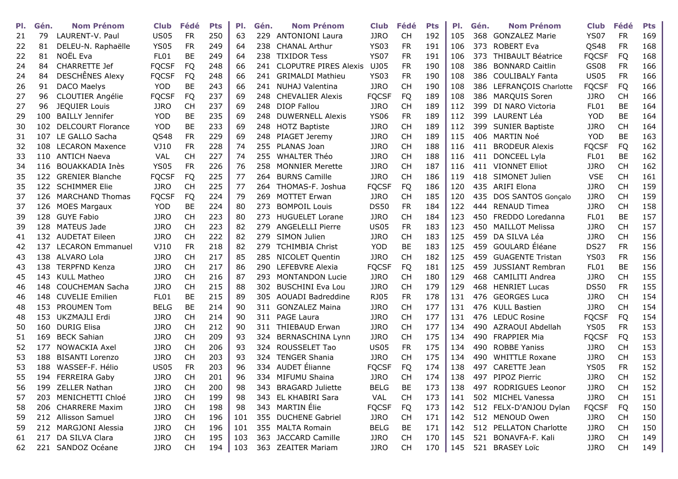| PI. | Gén. | <b>Nom Prénom</b>        | Club             | Fédé      | <b>Pts</b> | PI. | Gén.  | <b>Nom Prénom</b>            | <b>Club</b>  | Fédé      | <b>Pts</b> | PI. | Gén. | <b>Nom Prénom</b>         | <b>Club</b>      | Fédé      | <b>Pts</b> |
|-----|------|--------------------------|------------------|-----------|------------|-----|-------|------------------------------|--------------|-----------|------------|-----|------|---------------------------|------------------|-----------|------------|
| 21  | 79   | LAURENT-V. Paul          | <b>US05</b>      | <b>FR</b> | 250        | 63  | 229   | <b>ANTONIONI Laura</b>       | <b>JJRO</b>  | <b>CH</b> | 192        | 105 |      | 368 GONZALEZ Marie        | <b>YS07</b>      | <b>FR</b> | 169        |
| 22  | 81   | DELEU-N. Raphaëlle       | <b>YS05</b>      | <b>FR</b> | 249        | 64  | 238   | <b>CHANAL Arthur</b>         | <b>YS03</b>  | <b>FR</b> | 191        | 106 | 373  | <b>ROBERT Eva</b>         | QS48             | <b>FR</b> | 168        |
| 22  | 81   | NOËL Eva                 | <b>FL01</b>      | <b>BE</b> | 249        | 64  | 238   | <b>TIXIDOR Tess</b>          | <b>YS07</b>  | <b>FR</b> | 191        | 106 | 373  | <b>THIBAULT Béatrice</b>  | <b>FQCSF</b>     | FQ        | 168        |
| 24  | 84   | <b>CHARRETTE Jef</b>     | <b>FQCSF</b>     | <b>FQ</b> | 248        | 66  | 241   | <b>CLOPUTRE PIRES Alexis</b> | UJ05         | <b>FR</b> | 190        | 108 | 386  | <b>BONNARD Caitlin</b>    | <b>GS08</b>      | <b>FR</b> | 166        |
| 24  | 84   | DESCHÊNES Alexy          | <b>FQCSF</b>     | <b>FQ</b> | 248        | 66  | 241   | <b>GRIMALDI Mathieu</b>      | <b>YS03</b>  | <b>FR</b> | 190        | 108 | 386. | <b>COULIBALY Fanta</b>    | <b>US05</b>      | <b>FR</b> | 166        |
| 26  | 91   | DACO Maelys              | <b>YOD</b>       | BE        | 243        | 66  | 241   | NUHAJ Valentina              | <b>JJRO</b>  | <b>CH</b> | 190        | 108 | 386  | LEFRANÇOIS Charlotte      | <b>FQCSF</b>     | <b>FQ</b> | 166        |
| 27  | 96   | CLOUTIER Angélie         | <b>FQCSF</b>     | <b>FQ</b> | 237        | 69  | 248   | <b>CHEVALIER Alexis</b>      | <b>FQCSF</b> | <b>FQ</b> | 189        | 108 | 386  | <b>MARQUIS Soren</b>      | <b>JJRO</b>      | <b>CH</b> | 166        |
| 27  | 96   | <b>JEQUIER Louis</b>     | <b>JJRO</b>      | <b>CH</b> | 237        | 69  |       | 248 DIOP Fallou              | <b>JJRO</b>  | <b>CH</b> | 189        | 112 | 399  | DI NARO Victoria          | FL01             | BE        | 164        |
| 29  | 100  | <b>BAILLY Jennifer</b>   | <b>YOD</b>       | BE        | 235        | 69  | 248.  | <b>DUWERNELL Alexis</b>      | <b>YS06</b>  | <b>FR</b> | 189        | 112 | 399  | LAURENT Léa               | <b>YOD</b>       | BE        | 164        |
| 30  | 102  | <b>DELCOURT Florance</b> | <b>YOD</b>       | <b>BE</b> | 233        | 69  |       | 248 HOTZ Baptiste            | <b>JJRO</b>  | <b>CH</b> | 189        | 112 | 399  | <b>SUNIER Baptiste</b>    | <b>JJRO</b>      | <b>CH</b> | 164        |
| 31  | 107  | LE GALLO Sacha           | QS48             | <b>FR</b> | 229        | 69  | 248   | PIAGET Jeremy                | <b>JJRO</b>  | <b>CH</b> | 189        | 115 | 406  | MARTIN Noé                | <b>YOD</b>       | <b>BE</b> | 163        |
| 32  | 108  | <b>LECARON Maxence</b>   | VJ10             | <b>FR</b> | 228        | 74  | 255   | PLANAS Joan                  | <b>JJRO</b>  | <b>CH</b> | 188        | 116 | 411  | <b>BRODEUR Alexis</b>     | <b>FQCSF</b>     | FQ        | 162        |
| 33  | 110  | <b>ANTICH Naeva</b>      | <b>VAL</b>       | <b>CH</b> | 227        | 74  | 255   | <b>WHALTER Théo</b>          | <b>JJRO</b>  | <b>CH</b> | 188        | 116 | 411  | DONCEEL Lyla              | FL01             | <b>BE</b> | 162        |
| 34  | 116  | BOUAKKADIA Inès          | <b>YS05</b>      | <b>FR</b> | 226        | 76  | 258   | <b>MONNIER Merette</b>       | <b>JJRO</b>  | <b>CH</b> | 187        | 116 | 411  | <b>VIONNET Elliot</b>     | <b>JJRO</b>      | <b>CH</b> | 162        |
| 35  | 122  | <b>GRENIER Blanche</b>   | <b>FQCSF</b>     | FQ        | 225        | 77  | 264   | <b>BURNS Camille</b>         | <b>JJRO</b>  | <b>CH</b> | 186        | 119 | 418  | SIMONET Julien            | <b>VSE</b>       | <b>CH</b> | 161        |
| 35  | 122  | <b>SCHIMMER Elie</b>     | <b>JJRO</b>      | <b>CH</b> | 225        | 77  | 264.  | THOMAS-F. Joshua             | <b>FQCSF</b> | FQ        | 186        | 120 | 435  | <b>ARIFI Elona</b>        | <b>JJRO</b>      | <b>CH</b> | 159        |
| 37  | 126  | <b>MARCHAND Thomas</b>   | <b>FQCSF</b>     | <b>FQ</b> | 224        | 79  | 269   | <b>MOTTET Erwan</b>          | <b>JJRO</b>  | <b>CH</b> | 185        | 120 | 435  | <b>DOS SANTOS Goncalo</b> | <b>JJRO</b>      | <b>CH</b> | 159        |
| 37  | 126  | <b>MOES Margaux</b>      | <b>YOD</b>       | BE        | 224        | 80  | 273.  | <b>BOMPOIL Louis</b>         | <b>DS50</b>  | <b>FR</b> | 184        | 122 | 444  | <b>RENAUD Timea</b>       | <b>JJRO</b>      | <b>CH</b> | 158        |
| 39  | 128  | <b>GUYE Fabio</b>        | <b>JJRO</b>      | <b>CH</b> | 223        | 80  | 273   | <b>HUGUELET Lorane</b>       | <b>JJRO</b>  | <b>CH</b> | 184        | 123 | 450  | FREDDO Loredanna          | FL01             | <b>BE</b> | 157        |
| 39  | 128  | MATEUS Jade              | <b>JJRO</b>      | <b>CH</b> | 223        | 82  | 279   | <b>ANGELELLI Pierre</b>      | <b>US05</b>  | <b>FR</b> | 183        | 123 | 450  | <b>MAILLOT Melissa</b>    | <b>JJRO</b>      | <b>CH</b> | 157        |
| 41  | 132  | <b>AUDETAT Eileen</b>    | <b>JJRO</b>      | <b>CH</b> | 222        | 82  | 279.  | SIMON Julien                 | <b>JJRO</b>  | <b>CH</b> | 183        | 125 | 459  | DA SILVA Léa              | <b>JJRO</b>      | <b>CH</b> | 156        |
| 42  | 137  | <b>LECARON Emmanuel</b>  | VJ10             | <b>FR</b> | 218        | 82  | 279   | <b>TCHIMBIA Christ</b>       | <b>YOD</b>   | <b>BE</b> | 183        | 125 | 459  | GOULARD Éléane            | <b>DS27</b>      | <b>FR</b> | 156        |
| 43  | 138  | ALVARO Lola              | <b>JJRO</b>      | <b>CH</b> | 217        | 85  |       | 285 NICOLET Quentin          | <b>JJRO</b>  | <b>CH</b> | 182        | 125 | 459  | <b>GUAGENTE Tristan</b>   | <b>YS03</b>      | <b>FR</b> | 156        |
| 43  | 138  | <b>TERPFND Kenza</b>     | <b>JJRO</b>      | <b>CH</b> | 217        | 86  | 290   | LEFEBVRE Alexia              | <b>FQCSF</b> | FQ        | 181        | 125 | 459  | <b>JUSSIANT Rembran</b>   | FL <sub>01</sub> | <b>BE</b> | 156        |
| 45  | 143  | <b>KULL Matheo</b>       | <b>JJRO</b>      | <b>CH</b> | 216        | 87  | 293   | <b>MONTANDON Lucie</b>       | <b>JJRO</b>  | <b>CH</b> | 180        | 129 | 468  | <b>CAMILITI Andrea</b>    | <b>JJRO</b>      | <b>CH</b> | 155        |
| 46  | 148  | <b>COUCHEMAN Sacha</b>   | <b>JJRO</b>      | <b>CH</b> | 215        | 88  | 302   | <b>BUSCHINI Eva Lou</b>      | <b>JJRO</b>  | <b>CH</b> | 179        | 129 | 468  | <b>HENRIET Lucas</b>      | <b>DS50</b>      | <b>FR</b> | 155        |
| 46  | 148  | <b>CUVELIE Emilien</b>   | FL <sub>01</sub> | <b>BE</b> | 215        | 89  | 305   | AOUADI Badreddine            | RJ05         | <b>FR</b> | 178        | 131 | 476  | <b>GEORGES Luca</b>       | <b>JJRO</b>      | <b>CH</b> | 154        |
| 48  | 153  | <b>PROUMEN Tom</b>       | <b>BELG</b>      | <b>BE</b> | 214        | 90  | 311   | <b>GONZALEZ Maina</b>        | <b>JJRO</b>  | <b>CH</b> | 177        | 131 | 476  | <b>KULL Bastien</b>       | <b>JJRO</b>      | <b>CH</b> | 154        |
| 48  | 153  | UKZMAJLI Erdi            | <b>JJRO</b>      | <b>CH</b> | 214        | 90  | 311   | PAGE Laura                   | <b>JJRO</b>  | <b>CH</b> | 177        | 131 | 476  | <b>LEDUC Rosine</b>       | <b>FQCSF</b>     | <b>FQ</b> | 154        |
| 50  | 160  | <b>DURIG Elisa</b>       | <b>JJRO</b>      | <b>CH</b> | 212        | 90  | 311   | <b>THIEBAUD Erwan</b>        | <b>JJRO</b>  | <b>CH</b> | 177        | 134 | 490  | AZRAOUI Abdellah          | <b>YS05</b>      | <b>FR</b> | 153        |
| 51  | 169  | <b>BECK Sahian</b>       | <b>JJRO</b>      | <b>CH</b> | 209        | 93  | 324   | <b>BERNASCHINA Lynn</b>      | <b>JJRO</b>  | <b>CH</b> | 175        | 134 | 490  | <b>FRAPPIER Mia</b>       | <b>FQCSF</b>     | <b>FQ</b> | 153        |
| 52  | 177  | <b>NOWACKIA Axel</b>     | <b>JJRO</b>      | <b>CH</b> | 206        | 93  | 324 . | ROUSSELET Tao                | <b>US05</b>  | <b>FR</b> | 175        | 134 | 490  | <b>ROBBE Yaniss</b>       | <b>JJRO</b>      | <b>CH</b> | 153        |
| 53  | 188  | <b>BISANTI Lorenzo</b>   | <b>JJRO</b>      | <b>CH</b> | 203        | 93  | 324   | <b>TENGER Shania</b>         | <b>JJRO</b>  | <b>CH</b> | 175        | 134 | 490  | <b>WHITTLE Roxane</b>     | <b>JJRO</b>      | <b>CH</b> | 153        |
| 53  | 188  | WASSEF-F. Hélio          | <b>US05</b>      | <b>FR</b> | 203        | 96  | 334   | AUDET Élianne                | <b>FQCSF</b> | FQ        | 174        | 138 | 497  | CARETTE Jean              | <b>YS05</b>      | <b>FR</b> | 152        |
| 55  |      | 194 FERREIRA Gaby        | <b>JJRO</b>      | <b>CH</b> | 201        | 96  |       | 334 MIFUMU Shaina            | <b>JJRO</b>  | <b>CH</b> | 174        | 138 | 497  | PIPOZ Pierric             | <b>JJRO</b>      | <b>CH</b> | 152        |
| 56  |      | 199 ZELLER Nathan        | <b>JJRO</b>      | <b>CH</b> | 200        | 98  |       | 343 BRAGARD Juliette         | <b>BELG</b>  | BE        | 173        | 138 | 497  | RODRIGUES Leonor          | <b>JJRO</b>      | <b>CH</b> | 152        |
| 57  | 203  | MENICHETTI Chloé         | <b>JJRO</b>      | <b>CH</b> | 199        | 98  |       | 343 EL KHABIRI Sara          | VAL          | <b>CH</b> | 173        | 141 | 502  | MICHEL Vanessa            | <b>JJRO</b>      | <b>CH</b> | 151        |
| 58  |      | 206 CHARRERE Maxim       | <b>JJRO</b>      | <b>CH</b> | 198        | 98  |       | 343 MARTIN Élie              | <b>FQCSF</b> | FQ        | 173        | 142 |      | 512 FELX-D'ANJOU Dylan    | <b>FQCSF</b>     | FQ        | 150        |
| 59  |      | 212 Allisson Samuel      | <b>JJRO</b>      | <b>CH</b> | 196        | 101 |       | 355 DUCHENE Gabriel          | <b>JJRO</b>  | <b>CH</b> | 171        | 142 |      | 512 MENOUD Owen           | <b>JJRO</b>      | <b>CH</b> | 150        |
| 59  |      | 212 MARGJONI Alessia     | <b>JJRO</b>      | <b>CH</b> | 196        | 101 |       | 355 MALTA Romain             | <b>BELG</b>  | BE        | 171        | 142 |      | 512 PELLATON Charlotte    | <b>JJRO</b>      | <b>CH</b> | 150        |
| 61  | 217  | DA SILVA Clara           | <b>JJRO</b>      | <b>CH</b> | 195        | 103 |       | 363 JACCARD Camille          | <b>JJRO</b>  | <b>CH</b> | 170        | 145 | 521  | BONAVFA-F. Kali           | <b>JJRO</b>      | <b>CH</b> | 149        |
| 62  |      | 221 SANDOZ Océane        | <b>JJRO</b>      | <b>CH</b> | 194        | 103 |       | 363 ZEAITER Mariam           | <b>JJRO</b>  | <b>CH</b> | 170        | 145 |      | 521 BRASEY Loïc           | <b>JJRO</b>      | <b>CH</b> | 149        |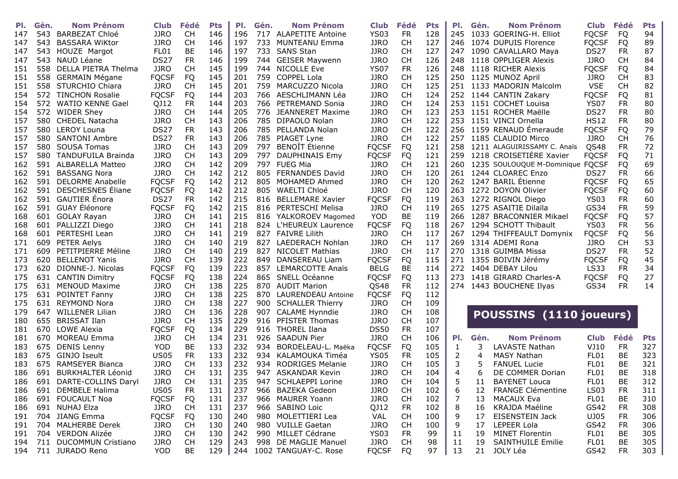| PI. | Gén. | <b>Nom Prénom</b>          | <b>Club</b>      | Fédé      | <b>Pts</b> | PI. | Gén. | <b>Nom Prénom</b>            | <b>Club</b>  | Fédé      | <b>Pts</b> | PI. | Gén. | <b>Nom Prénom</b>                    | <b>Club</b>      | Fédé      | <b>Pts</b> |
|-----|------|----------------------------|------------------|-----------|------------|-----|------|------------------------------|--------------|-----------|------------|-----|------|--------------------------------------|------------------|-----------|------------|
| 147 | 543. | BARBEZAT Chloé             | <b>JJRO</b>      | <b>CH</b> | 146        | 196 |      | 717 ALAPETITE Antoine        | <b>YS03</b>  | <b>FR</b> | 128        |     |      | 245 1033 GOERING-H. Elliot           | <b>FQCSF</b>     | FQ        | 94         |
| 147 | 543. | <b>BASSARA WiKtor</b>      | <b>JJRO</b>      | <b>CH</b> | 146        | 197 |      | 733 MUNTEANU Emma            | <b>JJRO</b>  | <b>CH</b> | 127        |     |      | 246 1074 DUPUIS Florence             | <b>FQCSF</b>     | FQ        | 89         |
| 147 | 543  | HOUZE Margot               | FL01             | <b>BE</b> | 146        | 197 |      | 733 SANS Stan                | <b>JJRO</b>  | <b>CH</b> | 127        | 247 |      | 1090 CAVALLARO Maya                  | <b>DS27</b>      | <b>FR</b> | 87         |
| 147 | 543  | NAUD Léane                 | DS <sub>27</sub> | <b>FR</b> | 146        | 199 |      | 744 GEISER Maywenn           | <b>JJRO</b>  | <b>CH</b> | 126        | 248 |      | 1118 OPPLIGER Alexis                 | <b>JJRO</b>      | <b>CH</b> | 84         |
| 151 | 558  | DELLA PIETRA Thelma        | <b>JJRO</b>      | <b>CH</b> | 145        | 199 |      | 744 NICOLLE Eve              | <b>YS07</b>  | <b>FR</b> | 126        | 248 |      | 1118 RICHER Alexis                   | <b>FQCSF</b>     | <b>FQ</b> | 84         |
| 151 | 558  | <b>GERMAIN Mégane</b>      | <b>FQCSF</b>     | <b>FQ</b> | 145        | 201 |      | 759 COPPEL Lola              | <b>JJRO</b>  | <b>CH</b> | 125        |     |      | 250 1125 MUNOZ April                 | <b>JJRO</b>      | <b>CH</b> | 83         |
| 151 | 558  | <b>STURCHIO Chiara</b>     | <b>JJRO</b>      | <b>CH</b> | 145        | 201 | 759  | MARCUZZO Nicola              | <b>JJRO</b>  | <b>CH</b> | 125        |     |      | 251 1133 MADORIN Malcolm             | <b>VSE</b>       | <b>CH</b> | 82         |
| 154 | 572  | <b>TINCHON Rosalie</b>     | <b>FQCSF</b>     | <b>FQ</b> | 144        | 203 | 766  | AESCHLIMANN Léa              | <b>JJRO</b>  | <b>CH</b> | 124        |     |      | 252 1144 CANTIN Zakary               | <b>FQCSF</b>     | <b>FQ</b> | 81         |
| 154 | 572  | <b>WATIO KENNE Gael</b>    | QJ12             | <b>FR</b> | 144        | 203 |      | 766 PETREMAND Sonia          | <b>JJRO</b>  | <b>CH</b> | 124        |     |      | 253 1151 COCHET Louisa               | <b>YS07</b>      | <b>FR</b> | 80         |
| 154 | 572  | <b>WIDER Shey</b>          | <b>JJRO</b>      | <b>CH</b> | 144        | 205 | 776  | JEANNERET Maxime             | <b>JJRO</b>  | <b>CH</b> | 123        | 253 |      | 1151 ROCHER Maëlle                   | <b>DS27</b>      | <b>FR</b> | 80         |
| 157 | 580  | <b>CHEDEL Natacha</b>      | <b>JJRO</b>      | <b>CH</b> | 143        | 206 |      | 785 DIPAOLO Nolan            | <b>JJRO</b>  | <b>CH</b> | 122        | 253 |      | 1151 VINCI Ornella                   | <b>HS12</b>      | <b>FR</b> | 80         |
| 157 | 580  | <b>LEROY Louna</b>         | <b>DS27</b>      | <b>FR</b> | 143        | 206 |      | 785 PELLANDA Nolan           | <b>JJRO</b>  | <b>CH</b> | 122        |     |      | 256 1159 RENAUD Émeraude             | <b>FQCSF</b>     | FQ        | 79         |
| 157 | 580  | <b>SANTONI Ambre</b>       | <b>DS27</b>      | <b>FR</b> | 143        | 206 |      | 785 PIAGET Lyne              | <b>JJRO</b>  | <b>CH</b> | 122        | 257 |      | 1185 CLAUDIO Mirco                   | <b>JJRO</b>      | <b>CH</b> | 76         |
| 157 | 580  | <b>SOUSA Tomas</b>         | <b>JJRO</b>      | <b>CH</b> | 143        | 209 | 797  | <b>BENOÎT</b> Étienne        | <b>FQCSF</b> | <b>FQ</b> | 121        | 258 |      | 1211 ALAGUIRISSAMY C. Anaïs          | QS48             | <b>FR</b> | 72         |
| 157 | 580  | <b>TANDUFUILA Brainda</b>  | <b>JJRO</b>      | <b>CH</b> | 143        | 209 | 797  | DAUPHINAIS Emy               | <b>FQCSF</b> | <b>FQ</b> | 121        | 259 |      | 1218 CROISETIÈRE Xavier              | <b>FQCSF</b>     | <b>FQ</b> | 71         |
| 162 | 591  | <b>ALBARELLA Matteo</b>    | <b>JJRO</b>      | <b>CH</b> | 142        | 209 |      | 797 FUEG Mia                 | <b>JJRO</b>  | <b>CH</b> | 121        |     |      | 260 1235 SOULOUQUE M-Dominique FQCSF |                  | FQ        | 69         |
| 162 | 591  | <b>BASSANG Nora</b>        | <b>JJRO</b>      | <b>CH</b> | 142        | 212 |      | 805 FERNANDES David          | <b>JJRO</b>  | <b>CH</b> | 120        |     |      | 261 1244 CLOAREC Enzo                | DS <sub>27</sub> | <b>FR</b> | 66         |
| 162 | 591  | <b>DELORME Anabelle</b>    | <b>FQCSF</b>     | FQ        | 142        | 212 | 805  | MOHAMED Ahmed                | <b>JJRO</b>  | <b>CH</b> | 120        |     |      | 262 1247 BARIL Étienne               | <b>FQCSF</b>     | <b>FQ</b> | 65         |
| 162 | 591  | DESCHESNES Éliane          | <b>FQCSF</b>     | <b>FQ</b> | 142        | 212 | 805  | WAELTI Chloé                 | <b>JJRO</b>  | <b>CH</b> | 120        | 263 |      | 1272 DOYON Olivier                   | <b>FQCSF</b>     | <b>FQ</b> | 60         |
| 162 | 591  | <b>GAUTIER</b> Énora       | DS <sub>27</sub> | <b>FR</b> | 142        | 215 | 816  | <b>BELLEMARE Xavier</b>      | <b>FQCSF</b> | <b>FQ</b> | 119        | 263 |      | 1272 RIGNOL Diego                    | <b>YS03</b>      | <b>FR</b> | 60         |
| 162 | 591  | GUAY Éléonore              | <b>FQCSF</b>     | <b>FQ</b> | 142        | 215 |      | 816 PERTESCHI Melisa         | <b>JJRO</b>  | <b>CH</b> | 119        |     |      | 265 1275 ASAITIE Dilaïla             | GS34             | <b>FR</b> | 59         |
| 168 | 601  | <b>GOLAY Rayan</b>         | <b>JJRO</b>      | <b>CH</b> | 141        | 215 |      | 816 YALKOROEV Magomed        | <b>YOD</b>   | BE        | 119        | 266 |      | 1287 BRACONNIER Mikael               | <b>FQCSF</b>     | FQ        | 57         |
| 168 | 601  | PALLIZZI Diego             | <b>JJRO</b>      | <b>CH</b> | 141        | 218 |      | 824 L'HEUREUX Laurence       | <b>FQCSF</b> | <b>FQ</b> | 118        | 267 |      | 1294 SCHOTT Thibault                 | <b>YS03</b>      | <b>FR</b> | 56         |
| 168 | 601  | PERTESHI Lean              | <b>JJRO</b>      | <b>CH</b> | 141        | 219 |      | 827 FAIVRE Lilith            | <b>JJRO</b>  | <b>CH</b> | 117        | 267 |      | 1294 THIFFEAULT Domynix              | <b>FQCSF</b>     | FQ        | 56         |
| 171 | 609  | <b>PETER Aelys</b>         | <b>JJRO</b>      | <b>CH</b> | 140        | 219 | 827  | LAEDERACH Nohlan             | <b>JJRO</b>  | <b>CH</b> | 117        | 269 |      | 1314 ADEMI Rona                      | <b>JJRO</b>      | <b>CH</b> | 53         |
| 171 | 609  | PETITPIERRE Méline         | <b>JJRO</b>      | <b>CH</b> | 140        | 219 |      | 827 NICOLET Mathias          | <b>JJRO</b>  | <b>CH</b> | 117        |     |      | 270 1318 GUIMBA Missa                | <b>DS27</b>      | <b>FR</b> | 52         |
| 173 | 620  | <b>BELLENOT Yanis</b>      | <b>JJRO</b>      | <b>CH</b> | 139        | 222 | 849  | DANSEREAU Liam               | <b>FQCSF</b> | <b>FQ</b> | 115        | 271 |      | 1355 BOIVIN Jérémy                   | <b>FQCSF</b>     | FQ        | 45         |
| 173 | 620  | DIONNE-J. Nicolas          | <b>FQCSF</b>     | FQ        | 139        | 223 |      | 857 LEMARCOTTE Anaïs         | <b>BELG</b>  | BE        | 114        | 272 |      | 1404 DEBAY Lilou                     | LS33             | <b>FR</b> | 34         |
| 175 | 631  | <b>CANTIN Dimitry</b>      | <b>FQCSF</b>     | FQ        | 138        | 224 | 865  | SNELL Océanne                | <b>FQCSF</b> | <b>FQ</b> | 113        | 273 |      | 1418 GIRARD Charles-A                | <b>FQCSF</b>     | FQ        | 27         |
| 175 | 631  | <b>MENOUD Maxime</b>       | <b>JJRO</b>      | <b>CH</b> | 138        | 225 |      | 870 AUDIT Marion             | QS48         | <b>FR</b> | 112        |     |      | 274 1443 BOUCHENE Ilyas              | GS34             | <b>FR</b> | 14         |
| 175 | 631  | <b>POINTET Fanny</b>       | <b>JJRO</b>      | <b>CH</b> | 138        | 225 |      | 870 LAURENDEAU Antoine       | <b>FQCSF</b> | <b>FQ</b> | 112        |     |      |                                      |                  |           |            |
| 175 | 631  | <b>REYMOND Nora</b>        | <b>JJRO</b>      | <b>CH</b> | 138        | 227 |      | 900 SCHALLER Thierry         | JJRO         | <b>CH</b> | 109        |     |      |                                      |                  |           |            |
| 179 | 647  | <b>WILLENER Lilian</b>     | <b>JJRO</b>      | <b>CH</b> | 136        | 228 |      | 907 CALAME Hynndie           | <b>JJRO</b>  | <b>CH</b> | 108        |     |      |                                      |                  |           |            |
| 180 | 655  | <b>BRISSAT Ilan</b>        | <b>JJRO</b>      | <b>CH</b> | 135        | 229 |      | 916 PFISTER Thomas           | <b>JJRO</b>  | <b>CH</b> | 107        |     |      | POUSSINS (1110 joueurs)              |                  |           |            |
| 181 | 670  | LOWE Alexia                | <b>FQCSF</b>     | FQ        | 134        | 229 |      | 916 THOREL Ilana             | <b>DS50</b>  | <b>FR</b> | 107        |     |      |                                      |                  |           |            |
| 181 | 670  | MOREAU Emma                | <b>JJRO</b>      | <b>CH</b> | 134        | 231 |      | 926 SAADUN Pier              | <b>JJRO</b>  | <b>CH</b> | 106        | PI. | Gén. | <b>Nom Prénom</b>                    | <b>Club</b>      | Fédé      | <b>Pts</b> |
| 183 | 675  | <b>DENIS Lenny</b>         | <b>YOD</b>       | <b>BE</b> | 133        | 232 | 934  | BORDELEAU-L. Maëka           | <b>FQCSF</b> | <b>FQ</b> | 105        | 1   | 3    | LAVASTE Nathan                       | VJ10             | <b>FR</b> | 327        |
| 183 | 675  | GINJO Iseult               | <b>US05</b>      | <b>FR</b> | 133        | 232 | 934  | KALAMOUKA Timéa              | <b>YS05</b>  | FR        | 105        | 2   | 4    | MASY Nathan                          | FL01             | <b>BE</b> | 323        |
| 183 | 675  | <b>RAMSEYER Bianca</b>     | <b>JJRO</b>      | <b>CH</b> | 133        | 232 | 934  | <b>RODRIGES Melanie</b>      | <b>JJRO</b>  | <b>CH</b> | 105        | 3   | 5    | <b>FANUEL Lucie</b>                  | FL01             | BE        | 321        |
| 186 | 691  | <b>BURKHALTER Léonid</b>   | <b>JJRO</b>      | <b>CH</b> | 131        | 235 |      | 947 ASKANDAR Kevin           | <b>JJRO</b>  | <b>CH</b> | 104        | 4   | 6    | DE COMMER Dorian                     | FL01             | <b>BE</b> | 318        |
| 186 | 691  | DARTE-COLLINS Daryl        | <b>JJRO</b>      | <b>CH</b> | 131        | 235 |      | 947 SCHLAEPPI Lorine         | <b>JJRO</b>  | <b>CH</b> | 104        |     | 11   | <b>BAYENET Louca</b>                 | FL01             | BE        | 312        |
| 186 |      | 691 DEMBELE Halima         | <b>US05</b>      | FR        | 131        | 237 |      | 966 BAZEKA Gedeon            | <b>JJRO</b>  | CH        | 102        | 6   | 12   | <b>FRANGE Clémentine</b>             | LS <sub>03</sub> | <b>FR</b> | 311        |
| 186 |      | 691 FOUCAULT Noa           | <b>FQCSF</b>     | FQ        | 131        | 237 |      | 966 MAURER Yoann             | JJRO         | CH        | 102        | 7   | 13   | <b>MACAUX Eva</b>                    | FL01             | BE        | 310        |
|     |      | 186 691 NUHAJ Elza         | <b>JJRO</b>      | <b>CH</b> | 131        | 237 |      | 966 SABINO Loic              | QJ12         | <b>FR</b> | 102        | 8   | 16   | KRAJDA Maéline                       | GS42             | <b>FR</b> | 308        |
|     |      | 191 704 JIANG Emma         | <b>FQCSF</b>     | FQ        | 130        | 240 |      | 980 MOLETTIERI Lea           | VAL          | CH        | 100        | 9   | 17   | <b>EISENSTEIN Jack</b>               | UJ05             | <b>FR</b> | 306        |
|     |      | 191 704 MALHERBE Derek     | <b>JJRO</b>      | CH        | 130        | 240 |      | 980 VUILLE Gaetan            | JJRO         | CH        | 100        | 9   | 17   | LEPEER Lola                          | GS42             | <b>FR</b> | 306        |
|     |      | 191 704 VERDON Alizée      | <b>JJRO</b>      | <b>CH</b> | 130        | 242 |      | 990 MILLET Cédrane           | YS03         | FR.       | 99         | 11  | 19   | <b>MINET Florentin</b>               | FL01             | <b>BE</b> | 305        |
|     |      | 194 711 DUCOMMUN Cristiano | <b>JJRO</b>      | <b>CH</b> | 129        | 243 |      | 998 DE MAGLIE Manuel         | JJRO         | CH        | 98         | 11  | 19   | <b>SAINTHUILE Emilie</b>             | FL01             | BE        | 305        |
|     |      | 194 711 JURADO Reno        | YOD              | BE        |            |     |      | 129 244 1002 TANGUAY-C. Rose | <b>FQCSF</b> | FQ.       | 97         | 13  |      | 21 JOLY Léa                          | GS42             | FR        | 303        |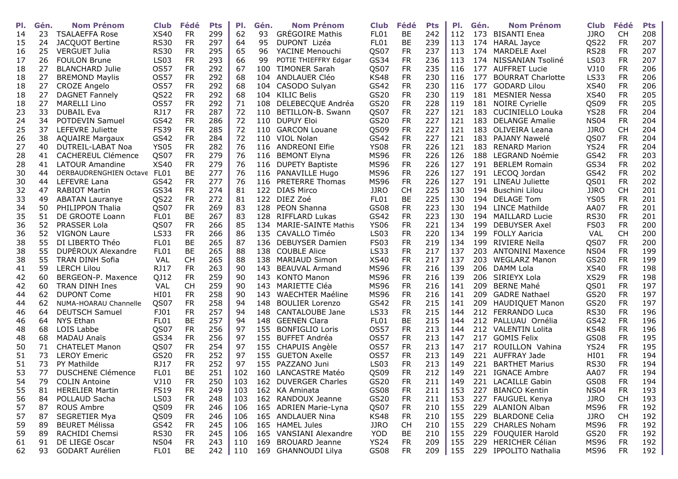| PI. | Gén. | <b>Nom Prénom</b>           | <b>Club</b>      | Fédé                   | <b>Pts</b> | PI.        | Gén. | <b>Nom Prénom</b>          | <b>Club</b>        | Fédé            | <b>Pts</b> | PI.        | Gén. | <b>Nom Prénom</b>        | <b>Club</b>         | Fédé            | <b>Pts</b> |
|-----|------|-----------------------------|------------------|------------------------|------------|------------|------|----------------------------|--------------------|-----------------|------------|------------|------|--------------------------|---------------------|-----------------|------------|
| 14  | 23   | <b>TSALAEFFA Rose</b>       | <b>XS40</b>      | <b>FR</b>              | 299        | 62         | 93   | <b>GRÉGOIRE Mathis</b>     | FL01               | BE              | 242        | 112        | 173  | <b>BISANTI Enea</b>      | <b>JJRO</b>         | <b>CH</b>       | 208        |
| 15  | 24   | JACQUOT Bertine             | <b>RS30</b>      | <b>FR</b>              | 297        | 64         | 95   | DUPONT Lizéa               | FL01               | BE              | 239        | 113        | 174  | <b>HARAL Jayce</b>       | QS22                | <b>FR</b>       | 207        |
| 16  | 25   | <b>VERGUET Julia</b>        | <b>RS30</b>      | <b>FR</b>              | 295        | 65         | 96   | YACINE Menouchi            | QS07               | <b>FR</b>       | 237        | 113        | 174  | <b>MARDELE Axel</b>      | <b>RS28</b>         | <b>FR</b>       | 207        |
| 17  | 26   | <b>FOULON Brune</b>         | <b>LS03</b>      | <b>FR</b>              | 293        | 66         | 99   | POTIE THIEFFRY Edgar       | GS34               | <b>FR</b>       | 236        | 113        | 174  | NISSANIAN Tsoliné        | <b>LS03</b>         | <b>FR</b>       | 207        |
| 18  | 27   | <b>BLANCHARD Julie</b>      | <b>OS57</b>      | <b>FR</b>              | 292        | 67         | 100  | <b>TIMONER Sarah</b>       | QS07               | <b>FR</b>       | 235        | 116        | 177  | <b>AUFFRET Lucie</b>     | VJ10                | <b>FR</b>       | 206        |
| 18  | 27   | <b>BREMOND Maylis</b>       | <b>OS57</b>      | <b>FR</b>              | 292        | 68         | 104  | ANDLAUER Cléo              | <b>KS48</b>        | <b>FR</b>       | 230        | 116        | 177  | <b>BOURRAT Charlotte</b> | <b>LS33</b>         | <b>FR</b>       | 206        |
| 18  | 27   | <b>CROZE Angelo</b>         | <b>OS57</b>      | <b>FR</b>              | 292        | 68         |      | 104 CASODO Sulyan          | GS42               | <b>FR</b>       | 230        | 116        | 177  | <b>GODARD Lilou</b>      | <b>XS40</b>         | <b>FR</b>       | 206        |
| 18  | 27   | <b>DAGNET Fannely</b>       | QS22             | <b>FR</b>              | 292        | 68         | 104  | <b>KILIC Belis</b>         | GS20               | <b>FR</b>       | 230        | 119        |      | 181 MESNIER Nessa        | <b>XS40</b>         | <b>FR</b>       | 205        |
| 18  | 27   | <b>MARELLI Lino</b>         | <b>OS57</b>      | <b>FR</b>              | 292        | 71         | 108  | DELEBECQUE Andréa          | GS20               | <b>FR</b>       | 228        | 119        | 181  | <b>NOIRE Cyrielle</b>    | QS09                | <b>FR</b>       | 205        |
| 23  | 33   | <b>DUBAIL Eva</b>           | <b>RJ17</b>      | <b>FR</b>              | 287        | 72         | 110  | BETILLON-B. Swann          | QS07               | <b>FR</b>       | 227        | 121        |      | 183 CUCINIELLO Louka     | <b>YS28</b>         | <b>FR</b>       | 204        |
| 24  | 34   | POTDEVIN Samuel             | GS42             | <b>FR</b>              | 286        | 72         | 110  | <b>DUPUY Eloi</b>          | GS20               | <b>FR</b>       | 227        | 121        |      | 183 DELANGE Amalie       | <b>NS04</b>         | <b>FR</b>       | 204        |
| 25  | 37   | LEFEVRE Juliette            | <b>FS39</b>      | <b>FR</b>              | 285        | 72         |      | 110 GARCON Louane          | QS09               | <b>FR</b>       | 227        | 121        |      | 183 OLIVEIRA Leana       | <b>JJRO</b>         | <b>CH</b>       | 204        |
| 26  | 38   | <b>AQUAIRE Margaux</b>      | GS42             | <b>FR</b>              | 284        | 72         | 110  | <b>VIOL Nolan</b>          | GS42               | <b>FR</b>       | 227        | 121        | 183  | PAJANY Nawelé            | QS07                | <b>FR</b>       | 204        |
| 27  | 40   | DUTREIL-LABAT Noa           | <b>YS05</b>      | <b>FR</b>              | 282        | 76         | 116  | <b>ANDREONI Elfie</b>      | <b>YS08</b>        | <b>FR</b>       | 226        | 121        | 183  | <b>RENARD Marion</b>     | <b>YS24</b>         | <b>FR</b>       | 204        |
| 28  | 41   | <b>CACHEREUL Clémence</b>   | QS07             | <b>FR</b>              | 279        | 76         | 116  | <b>BEMONT Elyna</b>        | <b>MS96</b>        | <b>FR</b>       | 226        | 126        | 188  | LEGRAND Noémie           | GS42                | <b>FR</b>       | 203        |
| 28  | 41   | <b>LATOUR Amandine</b>      | <b>XS40</b>      | <b>FR</b>              | 279        | 76         | 116  | <b>DUPETY Baptiste</b>     | <b>MS96</b>        | <b>FR</b>       | 226        | 127        | 191  | <b>BERLEM Romain</b>     | GS34                | <b>FR</b>       | 202        |
| 30  | 44   | DERBAUDRENGHIEN Octave FL01 |                  | BE                     | 277        | 76         |      | 116 PANAVILLE Hugo         | <b>MS96</b>        | <b>FR</b>       | 226        | 127        | 191  | LECOQ Jordan             | GS42                | <b>FR</b>       | 202        |
| 30  | 44   | LEFEVRE Lana                | GS42             | <b>FR</b>              | 277        | 76         | 116  | <b>PRETERRE Thomas</b>     | <b>MS96</b>        | <b>FR</b>       | 226        | 127        | 191  | LINEAU Juliette          | QS01                | <b>FR</b>       | 202        |
| 32  | 47   | <b>RABIOT Martin</b>        | GS34             | <b>FR</b>              | 274        | 81         | 122  | <b>DIAS Mirco</b>          | <b>JJRO</b>        | <b>CH</b>       | 225        | 130        | 194  | Buschini Lilou           | <b>JJRO</b>         | <b>CH</b>       | 201        |
| 33  | 49   | <b>ABATAN Lauranye</b>      | QS22             | <b>FR</b>              | 272        | 81         | 122  | DIEZ Zoé                   | FL01               | <b>BE</b>       | 225        | 130        | 194  | <b>DELAGE Tom</b>        | <b>YS05</b>         | <b>FR</b>       | 201        |
| 34  | 50   | PHILIPPON Thalia            | QS07             | <b>FR</b>              | 269        | 83         | 128  | PEON Shanna                | <b>GS08</b>        | <b>FR</b>       | 223        | 130        | 194  | <b>LINCE Mathilde</b>    | AA07                | <b>FR</b>       | 201        |
| 35  | 51   | DE GROOTE Loann             | FL01             | BE                     | 267        | 83         | 128  | <b>RIFFLARD Lukas</b>      | GS42               | <b>FR</b>       | 223        | 130        | 194  | <b>MAILLARD Lucie</b>    | <b>RS30</b>         | <b>FR</b>       | 201        |
| 36  | 52   | PRASSER Lola                | QS07             | <b>FR</b>              | 266        | 85         | 134  | <b>MARIE-SAINTE Mathis</b> | <b>YS06</b>        | <b>FR</b>       | 221        | 134        | 199  | DEBUYSER Axel            | <b>FS03</b>         | <b>FR</b>       | 200        |
| 36  | 52   | <b>VIGNON Laure</b>         | <b>LS33</b>      | <b>FR</b>              | 266        | 86         | 135  | CAVALLO Timéo              | <b>LS03</b>        | <b>FR</b>       | 220        | 134        | 199  | <b>FOLLY Aaricia</b>     | VAL                 | <b>CH</b>       | 200        |
| 38  | 55   | DI LIBERTO Théo             | FL <sub>01</sub> | BE                     | 265        | 87         | 136  | <b>DEBUYSER Damien</b>     | <b>FS03</b>        | <b>FR</b>       | 219        | 134        | 199  | RIVIERE Neïla            | QS07                | <b>FR</b>       | 200        |
| 38  | 55   | DUPEROUX Alexandre          | FL01             | BE                     | 265        | 88         | 138  | <b>COUBLE Alice</b>        | <b>LS33</b>        | <b>FR</b>       | 217        | 137        | 203  | <b>ANTONINI Maxence</b>  | <b>NS04</b>         | <b>FR</b>       | 199        |
| 38  | 55   | <b>TRAN DINH Sofia</b>      | VAL              | <b>CH</b>              | 265        | 88         | 138  | <b>MARIAUD Simon</b>       | <b>XS40</b>        | <b>FR</b>       | 217        | 137        | 203  | <b>WEGLARZ Manon</b>     | GS20                | <b>FR</b>       | 199        |
| 41  | 59   | <b>LERCH Lilou</b>          | <b>RJ17</b>      | <b>FR</b>              | 263        | 90         | 143  | <b>BEAUVAL Armand</b>      | <b>MS96</b>        | <b>FR</b>       | 216        | 139        | 206  | DAMM Lola                | <b>XS40</b>         | <b>FR</b>       | 198        |
| 42  | 60   | BERGEON-P. Maxence          | QJ12             | <b>FR</b>              | 259        | 90         | 143  | <b>KONTO Manon</b>         | <b>MS96</b>        | <b>FR</b>       | 216        | 139        | 206  | SIRIEYX Lola             | <b>XS29</b>         | <b>FR</b>       | 198        |
| 42  | 60   | TRAN DINH Ines              | VAL              | <b>CH</b>              | 259        | 90         | 143  | MARIETTE Cléa              | <b>MS96</b>        | <b>FR</b>       | 216        | 141        | 209  | <b>BERNE Mahé</b>        | QS01                | <b>FR</b>       | 197        |
| 44  | 62   | <b>DUPONT Come</b>          | HI01             | <b>FR</b>              | 258        | 90         | 143  | <b>WAECHTER Maéline</b>    | <b>MS96</b>        | <b>FR</b>       | 216        | 141        | 209  | <b>GADRE Nathael</b>     | GS20                | <b>FR</b>       | 197        |
| 44  | 62   | NUMA-HOARAU Channelle       | QS07             | <b>FR</b>              | 258        | 94         | 148  | <b>BOULIER Lorenzo</b>     | GS42               | <b>FR</b>       | 215        | 141        | 209  | <b>HAUDIQUET Manon</b>   | GS20                | <b>FR</b>       | 197        |
| 46  | 64   | <b>DEUTSCH Samuel</b>       | FJ01             | <b>FR</b>              | 257        | 94         | 148  | CANTALOUBE Jane            | <b>LS33</b>        | <b>FR</b>       | 215        | 144        | 212  | FERRANDO Luca            | <b>RS30</b>         | <b>FR</b>       | 196        |
| 46  | 64   | NYS Ethan                   | FL01             | <b>BE</b>              | 257        | 94         | 148  | <b>GEENEN Clara</b>        | FL01               | <b>BE</b>       | 215        | 144        |      | 212 PALLUAU Ornélia      | GS42                | <b>FR</b>       | 196        |
| 48  | 68   | LOIS Labbe                  | QS07             | <b>FR</b>              | 256        | 97         | 155  | <b>BONFIGLIO Loris</b>     | OS57               | <b>FR</b>       | 213        | 144        |      | 212 VALENTIN Lolita      | <b>KS48</b>         | <b>FR</b>       | 196        |
| 48  | 68   | <b>MADAU Anaïs</b>          | GS34             | <b>FR</b>              | 256        | 97         | 155  | <b>BUFFET Andréa</b>       | <b>OS57</b>        | <b>FR</b>       | 213        | 147        | 217  | <b>GOMIS Felix</b>       | GS08                | <b>FR</b>       | 195        |
| 50  | 71   | <b>CHATELET Manon</b>       | QS07             | <b>FR</b>              | 254        | 97         | 155  | CHAPUIS Angèle             | <b>OS57</b>        | <b>FR</b>       | 213        | 147        | 217  | ROUILLON Vahina          | <b>YS24</b>         | <b>FR</b>       | 195        |
| 51  | 73   | <b>LEROY Emeric</b>         | GS20             | <b>FR</b>              | 252        | 97         | 155  | <b>GUETON Axelle</b>       | <b>OS57</b>        | <b>FR</b>       | 213        | 149        | 221  | AUFFRAY Jade             | HI01                | <b>FR</b>       | 194        |
| 51  | 73   | <b>PY Mathilde</b>          | <b>RJ17</b>      | <b>FR</b>              | 252        | 97         | 155  | PAZZANO Juni               | <b>LS03</b>        | <b>FR</b>       | 213        | 149        | 221  | <b>BARTHET Marius</b>    | <b>RS30</b>         | <b>FR</b>       | 194        |
| 53  | 77   | <b>DUSCHENE Clémence</b>    | FL01             | <b>BE</b>              | 251        | 102        |      | 160 LANCASTRE Matéo        | QS09               | <b>FR</b>       | 212        | 149        |      | 221 IGNACE Ambre         | AA07                | <b>FR</b>       | 194        |
| 54  | 79   | <b>COLIN Antoine</b>        | VJ10             | <b>FR</b>              | 250        | 103        |      | 162 DUVERGER Charles       | GS20               | <b>FR</b>       | 211        | 149        |      | 221 LACAILLE Gabin       | <b>GS08</b>         | <b>FR</b>       | 194        |
| 55  | 81   | <b>HERELIER Martin</b>      | <b>FS19</b>      | <b>FR</b>              | 249        | 103        |      | 162 KA Aminata             | GS08               | <b>FR</b>       | 211        | 153        |      | 227 BIANCO Kentin        | <b>NS04</b>         | FR.             | 193        |
| 56  | 84   | POLLAUD Sacha               | LS <sub>03</sub> | <b>FR</b>              | 248        | 103        |      | 162 RANDOUX Jeanne         | GS20               | <b>FR</b>       | 211        | 153        | 227  | FAUGUEL Kenya            | <b>JJRO</b>         | CH              | 193        |
| 57  | 87   | ROUS Ambre                  | QS09             | <b>FR</b>              | 246        | 106        |      | 165 ADRIEN Marie-Lyna      | QS07               | <b>FR</b>       | 210        | 155        |      | 229 ALANION Alban        | <b>MS96</b>         | <b>FR</b>       | 192        |
| 57  | 87   | <b>SEGRETIER Mya</b>        | QS09             | <b>FR</b>              | 246        | 106        |      | 165 ANDLAUER Nina          | KS48               | <b>FR</b>       | 210        | 155        |      | 229 BLARDONE Celia       | <b>JJRO</b>         | <b>CH</b>       | 192        |
|     |      | <b>BEURET Mélissa</b>       | GS42             |                        |            |            |      | 165 HAMEL Jules            |                    |                 |            |            |      | 229 CHARLES Noham        |                     |                 |            |
| 59  | 89   | RACHIDI Chemsi              | <b>RS30</b>      | <b>FR</b><br><b>FR</b> | 245<br>245 | 106<br>106 |      | 165 VANSIANI Alexandre     | <b>JJRO</b><br>YOD | <b>CH</b><br>BE | 210<br>210 | 155<br>155 |      | 229 FOUQUIER Harold      | <b>MS96</b><br>GS20 | <b>FR</b><br>FR | 192<br>192 |
| 59  | 89   |                             |                  |                        |            |            |      | 169 BROUARD Jeanne         |                    |                 |            |            |      |                          |                     |                 |            |
| 61  | 91   | DE LIEGE Oscar              | <b>NS04</b>      | <b>FR</b>              | 243        | 110        |      |                            | <b>YS24</b>        | <b>FR</b>       | 209        | 155        |      | 229 HERICHER Célian      | <b>MS96</b>         | FR              | 192        |
| 62  | 93   | GODART Aurélien             | FL01             | BE                     | 242        | 110        |      | 169 GHANNOUDI Lilya        | GS08               | <b>FR</b>       | 209        | 155        |      | 229 IPPOLITO Nathalia    | <b>MS96</b>         | <b>FR</b>       | 192        |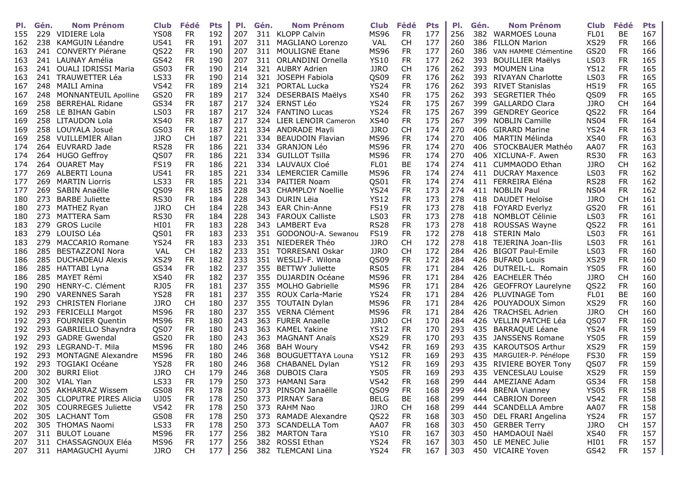| PI. | Gén. | <b>Nom Prénom</b>          | <b>Club</b> | Fédé      | <b>Pts</b> | PI. | Gén. | <b>Nom Prénom</b>        | <b>Club</b>      | Fédé      | <b>Pts</b> | PI. | Gén. | <b>Nom Prénom</b>         | <b>Club</b> | Fédé      | <b>Pts</b> |
|-----|------|----------------------------|-------------|-----------|------------|-----|------|--------------------------|------------------|-----------|------------|-----|------|---------------------------|-------------|-----------|------------|
| 155 | 229  | VIDIERE Lola               | <b>YS08</b> | <b>FR</b> | 192        | 207 |      | 311 KLOPP Calvin         | <b>MS96</b>      | <b>FR</b> | 177        | 256 |      | 382 WARMOES Louna         | FL01        | BE        | 167        |
| 162 |      | 238 KAMGUIN Léandre        | <b>US41</b> | <b>FR</b> | 191        | 207 |      | 311 MAGLIANO Lorenzo     | <b>VAL</b>       | <b>CH</b> | 177        | 260 | 386  | <b>FILLON Marion</b>      | <b>XS29</b> | <b>FR</b> | 166        |
| 163 |      | 241 CONVERTY Piérane       | QS22        | <b>FR</b> | 190        | 207 |      | 311 MOULIGNE Etane       | <b>MS96</b>      | <b>FR</b> | 177        | 260 | 386. | VAN HAMME Clémentine      | GS20        | <b>FR</b> | 166        |
| 163 | 241  | LAUNAY Amélia              | GS42        | <b>FR</b> | 190        | 207 |      | 311 ORLANDINI Ornella    | <b>YS10</b>      | <b>FR</b> | 177        | 262 | 393  | <b>BOUILLIER Maëlys</b>   | <b>LS03</b> | <b>FR</b> | 165        |
| 163 | 241  | <b>OUALI IDRISSI Maria</b> | GS03        | <b>FR</b> | 190        | 214 |      | 321 AUBRY Adrien         | <b>JJRO</b>      | <b>CH</b> | 176        | 262 | 393  | <b>MOUMEN Lina</b>        | <b>YS12</b> | <b>FR</b> | 165        |
| 163 |      | 241 TRAUWETTER Léa         | <b>LS33</b> | <b>FR</b> | 190        | 214 | 321  | JOSEPH Fabiola           | QS09             | <b>FR</b> | 176        | 262 | 393  | <b>RIVAYAN Charlotte</b>  | <b>LS03</b> | <b>FR</b> | 165        |
| 167 |      | 248 MAILI Amina            | <b>VS42</b> | <b>FR</b> | 189        | 214 | 321  | PORTAL Lucka             | <b>YS24</b>      | <b>FR</b> | 176        | 262 | 393  | <b>RIVET Stanislas</b>    | <b>HS19</b> | <b>FR</b> | 165        |
| 167 |      | 248 MONNANTEUIL Apolline   | GS20        | <b>FR</b> | 189        | 217 |      | 324 DESERBAIS Maëlys     | <b>XS40</b>      | <b>FR</b> | 175        | 262 | 393  | SEGRETIER Théo            | QS09        | <b>FR</b> | 165        |
| 169 | 258  | <b>BERREHAL Ridane</b>     | GS34        | <b>FR</b> | 187        | 217 | 324  | ERNST Léo                | <b>YS24</b>      | <b>FR</b> | 175        | 267 | 399  | <b>GALLARDO Clara</b>     | <b>JJRO</b> | <b>CH</b> | 164        |
| 169 | 258  | LE BIHAN Gabin             | <b>LS03</b> | <b>FR</b> | 187        | 217 |      | 324 FANTINO Lucas        | <b>YS24</b>      | <b>FR</b> | 175        | 267 | 399  | <b>GENDREY Georice</b>    | QS22        | <b>FR</b> | 164        |
| 169 | 258  | LITAUDON Lola              | <b>XS40</b> | <b>FR</b> | 187        | 217 |      | 324 LIER LENOIR Cameron  | <b>XS40</b>      | <b>FR</b> | 175        | 267 | 399  | <b>NOBLIN Camille</b>     | <b>NS04</b> | <b>FR</b> | 164        |
| 169 |      | 258 LOUYALA Josué          | GS03        | <b>FR</b> | 187        | 221 |      | 334 ANDRADE Mayli        | <b>JJRO</b>      | <b>CH</b> | 174        | 270 | 406  | <b>GIRARD Marine</b>      | <b>YS24</b> | <b>FR</b> | 163        |
| 169 | 258  | <b>VUILLEMIER Allan</b>    | <b>JJRO</b> | <b>CH</b> | 187        | 221 | 334  | <b>BEAUDOIN Flavian</b>  | <b>MS96</b>      | <b>FR</b> | 174        | 270 | 406  | MARTIN Mélinda            | <b>XS40</b> | <b>FR</b> | 163        |
| 174 | 264  | EUVRARD Jade               | <b>RS28</b> | <b>FR</b> | 186        | 221 |      | 334 GRANJON Léo          | <b>MS96</b>      | <b>FR</b> | 174        | 270 | 406  | STOCKBAUER Mathéo         | AA07        | <b>FR</b> | 163        |
| 174 |      | 264 HUGO Geffroy           | QS07        | <b>FR</b> | 186        | 221 |      | 334 GUILLOT Tsilla       | <b>MS96</b>      | <b>FR</b> | 174        | 270 | 406  | XICLUNA-F. Awen           | <b>RS30</b> | <b>FR</b> | 163        |
| 174 |      | 264 OUARET May             | <b>FS19</b> | <b>FR</b> | 186        | 221 |      | 334 LAUVAUX Cloé         | FL01             | BE        | 174        | 274 | 411  | <b>CUMMAODO Ethan</b>     | <b>JJRO</b> | <b>CH</b> | 162        |
| 177 |      | 269 ALBERTI Louna          | <b>US41</b> | <b>FR</b> | 185        | 221 |      | 334 LEMERCIER Camille    | <b>MS96</b>      | <b>FR</b> | 174        | 274 | 411  | <b>DUCRAY Maxence</b>     | <b>LS03</b> | <b>FR</b> | 162        |
| 177 | 269  | <b>MARTIN Liorris</b>      | <b>LS33</b> | <b>FR</b> | 185        | 221 |      | 334 PAITIER Noam         | QS01             | <b>FR</b> | 174        | 274 | 411  | FERREIRA Eléna            | <b>RS28</b> | <b>FR</b> | 162        |
| 177 | 269  | SABIN Anaëlle              | QS09        | <b>FR</b> | 185        | 228 |      | 343 CHAMPLOY Noellie     | <b>YS24</b>      | <b>FR</b> | 173        | 274 | 411  | <b>NOBLIN Paul</b>        | <b>NS04</b> | <b>FR</b> | 162        |
| 180 | 273  | <b>BARBE Juliette</b>      | <b>RS30</b> | <b>FR</b> | 184        | 228 | 343  | DURIN Lëia               | <b>YS12</b>      | <b>FR</b> | 173        | 278 | 418  | <b>DAUDET Heloïse</b>     | <b>JJRO</b> | <b>CH</b> | 161        |
| 180 |      | 273 MATHEZ Ryan            | <b>JJRO</b> | <b>CH</b> | 184        | 228 |      | 343 EAR Chin-Anne        | <b>FS19</b>      | <b>FR</b> | 173        | 278 | 418  | <b>FOYARD Everlyz</b>     | GS20        | <b>FR</b> | 161        |
| 180 |      | 273 MATTERA Sam            | <b>RS30</b> | <b>FR</b> | 184        | 228 | 343  | <b>FAROUX Calliste</b>   | <b>LS03</b>      | <b>FR</b> | 173        | 278 | 418  | <b>NOMBLOT Célinie</b>    | <b>LS03</b> | <b>FR</b> | 161        |
| 183 | 279  | <b>GROS Lucile</b>         | HI01        | <b>FR</b> | 183        | 228 |      | 343 LAMBERT Eva          | <b>RS28</b>      | <b>FR</b> | 173        | 278 | 418  | ROUSSAS Wayne             | QS22        | <b>FR</b> | 161        |
| 183 | 279  | LOUISO Léa                 | QS01        | <b>FR</b> | 183        | 233 |      | 351 GODONOU-A. Sewanou   | <b>FS19</b>      | <b>FR</b> | 172        | 278 | 418  | <b>STERIN Malo</b>        | <b>LS03</b> | <b>FR</b> | 161        |
| 183 | 279  | <b>MACCARIO Romane</b>     | <b>YS24</b> | <b>FR</b> | 183        | 233 | 351  | NIEDERER Théo            | <b>JJRO</b>      | <b>CH</b> | 172        | 278 | 418  | TEJERINA Joan-Ilis        | <b>LS03</b> | <b>FR</b> | 161        |
| 186 | 285  | BESTAZZONI Nora            | VAL         | <b>CH</b> | 182        | 233 | 351  | <b>TORRESANI Oskar</b>   | <b>JJRO</b>      | <b>CH</b> | 172        | 284 | 426  | <b>BIGOT Paul-Emile</b>   | <b>LS03</b> | <b>FR</b> | 160        |
| 186 |      | 285 DUCHADEAU Alexis       | <b>XS29</b> | <b>FR</b> | 182        | 233 |      | 351 WESLIJ-F. Wilona     | QS <sub>09</sub> | <b>FR</b> | 172        | 284 | 426  | <b>BUFARD Louis</b>       | <b>XS29</b> | <b>FR</b> | 160        |
| 186 |      |                            |             | <b>FR</b> | 182        | 237 | 355  | <b>BETTWY Juliette</b>   | <b>RS05</b>      | <b>FR</b> | 171        | 284 | 426  | DUTREIL-L. Romain         | <b>YS05</b> | <b>FR</b> | 160        |
|     |      | 285 HATTABI Lyna           | GS34        |           | 182        |     |      |                          |                  |           |            |     |      |                           |             | <b>CH</b> | 160        |
| 186 |      | 285 MAYET Rémi             | <b>XS40</b> | <b>FR</b> |            | 237 | 355  | <b>DUJARDIN Océane</b>   | <b>MS96</b>      | <b>FR</b> | 171        | 284 | 426  | <b>EACHELER Théo</b>      | <b>JJRO</b> |           |            |
| 190 | 290  | HENRY-C. Clément           | <b>RJ05</b> | <b>FR</b> | 181        | 237 | 355  | <b>MOLHO Gabrielle</b>   | <b>MS96</b>      | <b>FR</b> | 171        | 284 | 426  | <b>GEOFFROY Laurelyne</b> | QS22        | <b>FR</b> | 160        |
| 190 | 290  | <b>VARENNES Sarah</b>      | <b>YS28</b> | <b>FR</b> | 181        | 237 | 355  | ROUX Carla-Marie         | <b>YS24</b>      | <b>FR</b> | 171        | 284 | 426  | PLUVINAGE Tom             | FL01        | BE        | 160        |
| 192 |      | 293 CHRISTEN Floriane      | <b>JJRO</b> | <b>CH</b> | 180        | 237 | 355  | <b>TOUTAIN Dylan</b>     | <b>MS96</b>      | <b>FR</b> | 171        | 284 | 426  | POUYADOUX Simon           | <b>XS29</b> | <b>FR</b> | 160        |
| 192 |      | 293 FERICELLI Margot       | <b>MS96</b> | <b>FR</b> | 180        | 237 |      | 355 VERNA Clément        | <b>MS96</b>      | <b>FR</b> | 171        | 284 | 426  | <b>TRACHSEL Adrien</b>    | <b>JJRO</b> | <b>CH</b> | 160        |
| 192 | 293  | <b>FOURNIER Quentin</b>    | <b>MS96</b> | <b>FR</b> | 180        | 243 |      | 363 FURER Anaelle        | <b>JJRO</b>      | <b>CH</b> | 170        | 284 | 426  | VELLIN PATCHE Léa         | QS07        | <b>FR</b> | 160        |
| 192 | 293  | GABRIELLO Shayndra         | QS07        | <b>FR</b> | 180        | 243 | 363  | <b>KAMEL Yakine</b>      | <b>YS12</b>      | <b>FR</b> | 170        | 293 | 435  | <b>BARRAQUE Léane</b>     | <b>YS24</b> | <b>FR</b> | 159        |
| 192 | 293  | <b>GADRE Gwendal</b>       | GS20        | <b>FR</b> | 180        | 243 | 363  | <b>MAGNANT Anaïs</b>     | <b>XS29</b>      | <b>FR</b> | 170        | 293 | 435  | <b>JANSSENS Romane</b>    | <b>YS05</b> | <b>FR</b> | 159        |
| 192 |      | 293 LEGRAND-T. Mila        | <b>MS96</b> | <b>FR</b> | 180        | 246 | 368  | <b>BAH Woury</b>         | <b>VS42</b>      | <b>FR</b> | 169        | 293 | 435  | <b>KAROUTSOS Arthur</b>   | <b>XS29</b> | <b>FR</b> | 159        |
| 192 |      | 293 MONTAGNE Alexandre     | <b>MS96</b> | <b>FR</b> | 180        | 246 | 368  | <b>BOUGUETTAYA Louna</b> | <b>YS12</b>      | <b>FR</b> | 169        | 293 | 435  | MARGUIER-P. Pénélope      | <b>FS30</b> | <b>FR</b> | 159        |
| 192 |      | 293 TOGIAKI Océane         | <b>YS28</b> | <b>FR</b> | 180        | 246 | 368  | CHABANEL Dylan           | <b>YS12</b>      | <b>FR</b> | 169        | 293 |      | 435 RIVIERE BOYER Tony    | QS07        | <b>FR</b> | 159        |
| 200 |      | 302 BURRI Eliot            | <b>JJRO</b> | <b>CH</b> | 179        | 246 |      | 368 DUBOIS Clara         | <b>YS05</b>      | <b>FR</b> | 169        | 293 |      | 435 VENCESLAU Louise      | <b>XS29</b> | <b>FR</b> | 159        |
|     |      | 200 302 VIAL Ylan          | <b>LS33</b> | <b>FR</b> | 179        | 250 |      | 373 HAMANI Sara          | <b>VS42</b>      | <b>FR</b> | 168        | 299 |      | 444 AMEZIANE Adam         | GS34        | <b>FR</b> | 158        |
| 202 |      | 305 AKHARRAZ Wissem        | <b>GS08</b> | <b>FR</b> | 178        | 250 |      | 373 PINSON Janaëlle      | QS09             | <b>FR</b> | 168        | 299 |      | 444 BRENA Vianney         | <b>YS05</b> | <b>FR</b> | 158        |
| 202 |      | 305 CLOPUTRE PIRES Alicia  | UJ05        | FR        | 178        | 250 |      | 373 PIRNAY Sara          | <b>BELG</b>      | BE        | 168        | 299 | 444  | <b>CABRION Doreen</b>     | <b>VS42</b> | FR.       | 158        |
| 202 |      | 305 COURREGES Juliette     | <b>VS42</b> | FR        | 178        | 250 |      | 373 RAHM Nao             | <b>JJRO</b>      | <b>CH</b> | 168        | 299 |      | 444 SCANDELLA Ambre       | AA07        | FR.       | 158        |
| 202 |      | 305 LACHANT Tom            | GS08        | FR        | 178        | 250 |      | 373 RAMADE Alexandre     | QS22             | <b>FR</b> | 168        | 303 |      | 450 DEL FRARI Angelina    | <b>YS24</b> | <b>FR</b> | 157        |
| 202 |      | 305 THOMAS Naomi           | LS33        | <b>FR</b> | 178        | 250 |      | 373 SCANDELLA Tom        | AA07             | <b>FR</b> | 168        | 303 |      | 450 GERBER Terry          | <b>JJRO</b> | <b>CH</b> | 157        |
| 207 |      | 311 BULOT Louane           | <b>MS96</b> | <b>FR</b> | 177        | 256 |      | 382 MARTON Tara          | <b>YS10</b>      | FR.       | 167        | 303 |      | 450 HAMDAOUI Naël         | <b>XS40</b> | <b>FR</b> | 157        |
| 207 |      | 311 CHASSAGNOUX Eléa       | <b>MS96</b> | FR        | 177        | 256 |      | 382 ROSSI Ethan          | <b>YS24</b>      | FR.       | 167        | 303 |      | 450 LE MENEC Julie        | HI01        | FR.       | 157        |
| 207 |      | 311 HAMAGUCHI Ayumi        | <b>JJRO</b> | <b>CH</b> | 177        | 256 |      | 382 TLEMCANI Lina        | <b>YS24</b>      | FR.       | 167        | 303 |      | 450 VICAIRE Yoven         | GS42        | FR.       | 157        |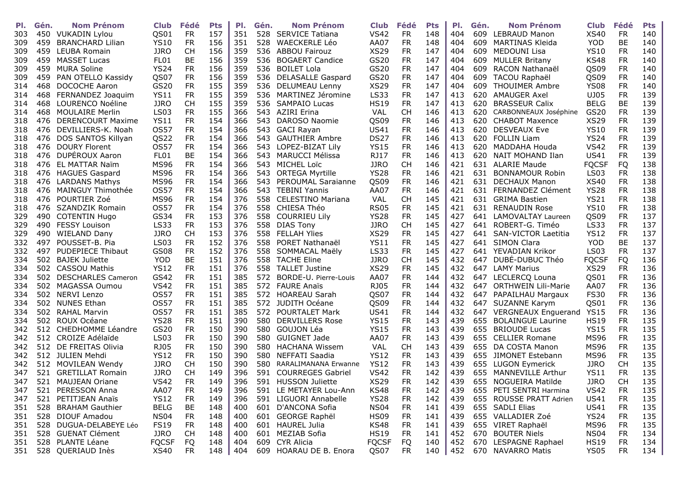| PI. | Gén. | <b>Nom Prénom</b>         | <b>Club</b>      | Fédé      | <b>Pts</b> | PI. | Gén.       | <b>Nom Prénom</b>        | <b>Club</b>  | Fédé      | <b>Pts</b> | PI.        | Gén.       | <b>Nom Prénom</b>          | <b>Club</b>  | Fédé      | <b>Pts</b> |
|-----|------|---------------------------|------------------|-----------|------------|-----|------------|--------------------------|--------------|-----------|------------|------------|------------|----------------------------|--------------|-----------|------------|
| 303 | 450  | VUKADIN Lylou             | QS01             | <b>FR</b> | 157        | 351 | 528        | <b>SERVICE Tatiana</b>   | <b>VS42</b>  | <b>FR</b> | 148        | 404        | 609        | <b>LEBRAUD Manon</b>       | XS40         | <b>FR</b> | 140        |
| 309 | 459  | <b>BRANCHARD Lilian</b>   | <b>YS10</b>      | <b>FR</b> | 156        | 351 | 528        | WAECKERLE Léo            | AA07         | <b>FR</b> | 148        | 404        | 609        | <b>MARTINAS Kleida</b>     | <b>YOD</b>   | BE        | 140        |
| 309 | 459  | <b>LEUBA Romain</b>       | <b>JJRO</b>      | <b>CH</b> | 156        | 359 | 536        | <b>ABBOU Fairouz</b>     | <b>XS29</b>  | <b>FR</b> | 147        | 404        | 609        | <b>MEDOUNI Lisa</b>        | <b>YS10</b>  | <b>FR</b> | 140        |
| 309 | 459  | <b>MASSET Lucas</b>       | FL01             | BE        | 156        | 359 | 536        | <b>BOGAERT Candice</b>   | GS20         | <b>FR</b> | 147        | 404        | 609        | <b>MULLER Britany</b>      | <b>KS48</b>  | <b>FR</b> | 140        |
| 309 | 459  | <b>MURA Soline</b>        | <b>YS24</b>      | <b>FR</b> | 156        | 359 | 536        | <b>BOILET Lola</b>       | GS20         | <b>FR</b> | 147        | 404        | 609        | RACON Nathanaël            | QS09         | <b>FR</b> | 140        |
| 309 | 459  | PAN OTELLO Kassidy        | QS07             | <b>FR</b> | 156        | 359 | 536        | <b>DELASALLE Gaspard</b> | GS20         | <b>FR</b> | 147        | 404        | 609        | <b>TACOU Raphaël</b>       | QS09         | <b>FR</b> | 140        |
| 314 | 468  | DOCOCHE Aaron             | GS20             | <b>FR</b> | 155        | 359 | 536        | DELUMEAU Lenny           | <b>XS29</b>  | <b>FR</b> | 147        | 404        | 609        | <b>THOUIMER Ambre</b>      | <b>YS08</b>  | <b>FR</b> | 140        |
| 314 | 468  | FERNANDEZ Joaquim         | <b>YS11</b>      | <b>FR</b> | 155        | 359 | 536        | MARTINEZ Jéromine        | LS33         | <b>FR</b> | 147        | 413        | 620        | <b>AMAUGER Axel</b>        | UJ05         | <b>FR</b> | 139        |
| 314 | 468  | LOURENCO Noéline          | <b>JJRO</b>      | <b>CH</b> | 155        | 359 | 536        | <b>SAMPAIO Lucas</b>     | <b>HS19</b>  | <b>FR</b> | 147        | 413        | 620        | <b>BRASSEUR Calix</b>      | <b>BELG</b>  | BE        | 139        |
| 314 | 468  | <b>MOULAIRE Merlin</b>    | <b>LS03</b>      | <b>FR</b> | 155        | 366 | 543        | <b>AZIRI Erina</b>       | VAL          | <b>CH</b> | 146        | 413        | 620        | CARBONNEAUX Joséphine      | GS20         | <b>FR</b> | 139        |
| 318 | 476  | <b>DERENCOURT Maxime</b>  | <b>YS11</b>      | <b>FR</b> | 154        | 366 | 543        | DAROSO Naomie            | QS09         | <b>FR</b> | 146        | 413        | 620        | <b>CHABOT Maxence</b>      | <b>XS29</b>  | <b>FR</b> | 139        |
| 318 |      | 476 DEVILLIERS-K. Noah    | <b>OS57</b>      | <b>FR</b> | 154        | 366 | 543        | <b>GACI Rayan</b>        | <b>US41</b>  | <b>FR</b> | 146        | 413        | 620        | <b>DESVEAUX Eve</b>        | <b>YS10</b>  | <b>FR</b> | 139        |
| 318 | 476  | DOS SANTOS Killyan        | QS22             | <b>FR</b> | 154        | 366 | 543        | <b>GAUTHIER Ambre</b>    | <b>DS27</b>  | <b>FR</b> | 146        | 413        | 620        | <b>FOLLIN Liam</b>         | <b>YS24</b>  | <b>FR</b> | 139        |
| 318 | 476  | <b>DOURY Florent</b>      | <b>OS57</b>      | <b>FR</b> | 154        | 366 | 543        | LOPEZ-BIZAT Lily         | <b>YS15</b>  | <b>FR</b> | 146        | 413        | 620        | MADDAHA Houda              | <b>VS42</b>  | <b>FR</b> | 139        |
| 318 | 476  | DUPÉROUX Aaron            | FL01             | BE        | 154        | 366 | 543        | <b>MARUCCI Mélissa</b>   | RJ17         | <b>FR</b> | 146        | 413        | 620        | NAIT MOHAND Ilan           | <b>US41</b>  | <b>FR</b> | 139        |
| 318 | 476  | EL MATTAR Naïm            | <b>MS96</b>      | <b>FR</b> | 154        | 366 | 543        | <b>MICHEL Loïc</b>       | <b>JJRO</b>  | <b>CH</b> | 146        | 421        | 631        | <b>ALARIE Maude</b>        | <b>FQCSF</b> | FQ        | 138        |
| 318 | 476  | <b>HAGUES Gaspard</b>     | <b>MS96</b>      | <b>FR</b> | 154        | 366 | 543        | <b>ORTEGA Myrtille</b>   | <b>YS28</b>  | FR        | 146        | 421        | 631        | <b>BONNAMOUR Robin</b>     | <b>LS03</b>  | <b>FR</b> | 138        |
| 318 | 476  | <b>LARDANS Mathys</b>     | <b>MS96</b>      | <b>FR</b> | 154        | 366 | 543.       | PEROUMAL Saraianne       | QS09         | <b>FR</b> | 146        | 421        | 631        | <b>DECHAUX Manon</b>       | <b>XS40</b>  | <b>FR</b> | 138        |
| 318 | 476  | MAINGUY Thimothée         | <b>OS57</b>      | <b>FR</b> | 154        | 366 | 543        | <b>TEBINI Yannis</b>     | AA07         | <b>FR</b> | 146        | 421        | 631        | FERNANDEZ Clément          | <b>YS28</b>  | <b>FR</b> | 138        |
| 318 | 476  | POURTIER Zoé              | <b>MS96</b>      | <b>FR</b> | 154        | 376 | 558        | <b>CELESTINO Mariana</b> | VAL          | <b>CH</b> | 145        | 421        | 631        | <b>GRIMA Bastien</b>       | <b>YS21</b>  | <b>FR</b> | 138        |
| 318 |      | 476 SZANDZIK Romain       | <b>OS57</b>      | <b>FR</b> | 154        | 376 | 558        | CHIESA Théo              | <b>RS05</b>  | <b>FR</b> | 145        | 421        | 631        | <b>RENAUDIN Rose</b>       | <b>YS10</b>  | <b>FR</b> | 138        |
| 329 | 490  | <b>COTENTIN Hugo</b>      | GS34             | <b>FR</b> | 153        | 376 | 558        | <b>COURRIEU Lily</b>     | <b>YS28</b>  | <b>FR</b> | 145        | 427        | 641        | LAMOVALTAY Laureen         | QS09         | <b>FR</b> | 137        |
| 329 | 490  | <b>FESSY Louison</b>      | LS33             | <b>FR</b> | 153        | 376 | 558        | <b>DIAS Tony</b>         | <b>JJRO</b>  | <b>CH</b> | 145        | 427        |            | 641 ROBERT-G. Timéo        | <b>LS33</b>  | <b>FR</b> | 137        |
| 329 | 490  | <b>WIELAND Dany</b>       | <b>JJRO</b>      | <b>CH</b> | 153        | 376 | 558        | <b>FELLAH Ylies</b>      | <b>XS29</b>  | <b>FR</b> | 145        | 427        |            | 641 SAN-VICTOR Laetitia    | <b>YS12</b>  | <b>FR</b> | 137        |
| 332 | 497  | POUSSET-B. Pia            | <b>LS03</b>      | <b>FR</b> | 152        | 376 | 558        | PORET Nathanaël          | <b>YS11</b>  | <b>FR</b> | 145        | 427        | 641        | <b>SIMON Clara</b>         | <b>YOD</b>   | BE        | 137        |
| 332 | 497  | <b>PUDEPIECE Thibaut</b>  | <b>GS08</b>      | <b>FR</b> | 152        | 376 | 558        | SOMMACAL Maëly           | LS33         | <b>FR</b> | 145        | 427        | 641        | YEVADIAN Krikor            | <b>LS03</b>  | <b>FR</b> | 137        |
| 334 |      | 502 BAJEK Juliette        | <b>YOD</b>       | BE        | 151        | 376 | 558        | <b>TACHE Eline</b>       | <b>JJRO</b>  | <b>CH</b> | 145        | 432        | 647        | DUBE-DUBUC Théo            | <b>FQCSF</b> | FQ        | 136        |
| 334 | 502  | <b>CASSOU Mathis</b>      | <b>YS12</b>      | <b>FR</b> | 151        | 376 |            | <b>TALLET Justine</b>    |              | <b>FR</b> | 145        |            |            | <b>LAMY Marius</b>         |              | <b>FR</b> | 136        |
|     | 502  |                           | GS42             |           | 151        | 385 | 558<br>572 |                          | <b>XS29</b>  | <b>FR</b> | 144        | 432<br>432 | 647<br>647 |                            | <b>XS29</b>  |           | 136        |
| 334 |      | <b>DESCHARLES Cameron</b> |                  | <b>FR</b> |            |     |            | BORDE-U. Pierre-Louis    | AA07         |           |            |            |            | LECLERCQ Louna             | QS01         | <b>FR</b> |            |
| 334 | 502  | <b>MAGASSA Oumou</b>      | <b>VS42</b>      | <b>FR</b> | 151        | 385 | 572        | <b>FAURE Anaïs</b>       | <b>RJ05</b>  | <b>FR</b> | 144        | 432        | 647        | <b>ORTHWEIN Lili-Marie</b> | AA07         | <b>FR</b> | 136        |
| 334 | 502  | NERVI Lenzo               | <b>OS57</b>      | <b>FR</b> | 151        | 385 | 572        | <b>HOAREAU Sarah</b>     | QS07         | <b>FR</b> | 144        | 432        | 647        | PAPAILHAU Margaux          | <b>FS30</b>  | <b>FR</b> | 136        |
| 334 |      | 502 NUNES Ethan           | <b>OS57</b>      | <b>FR</b> | 151        | 385 | 572        | JUDITH Océane            | QS09         | <b>FR</b> | 144        | 432        | 647        | SUZANNE Karym              | QS01         | <b>FR</b> | 136        |
| 334 | 502  | <b>RAHAL Marvin</b>       | <b>OS57</b>      | <b>FR</b> | 151        | 385 | 572        | POURTALET Mark           | <b>US41</b>  | <b>FR</b> | 144        | 432        | 647        | <b>VERGNEAUX Enguerand</b> | <b>YS15</b>  | <b>FR</b> | 136        |
| 334 | 502  | ROUX Océane               | <b>YS28</b>      | <b>FR</b> | 151        | 390 | 580        | <b>DERVILLERS Rose</b>   | <b>YS15</b>  | <b>FR</b> | 143        | 439        | 655        | <b>BOLAINGUE Laurine</b>   | <b>HS19</b>  | <b>FR</b> | 135        |
| 342 | 512  | CHEDHOMME Léandre         | GS20             | <b>FR</b> | 150        | 390 | 580        | GOUJON Léa               | <b>YS15</b>  | <b>FR</b> | 143        | 439        | 655        | <b>BRIOUDE Lucas</b>       | <b>YS15</b>  | <b>FR</b> | 135        |
| 342 | 512  | CROIZE Adélaïde           | <b>LS03</b>      | <b>FR</b> | 150        | 390 | 580        | <b>GUIGNET Jade</b>      | AA07         | <b>FR</b> | 143        | 439        | 655        | <b>CELLIER Romane</b>      | <b>MS96</b>  | <b>FR</b> | 135        |
| 342 |      | 512 DE FREITAS Olivia     | <b>RJ05</b>      | <b>FR</b> | 150        | 390 | 580        | <b>HACHANA Wissem</b>    | <b>VAL</b>   | <b>CH</b> | 143        | 439        | 655        | DA COSTA Manon             | <b>MS96</b>  | <b>FR</b> | 135        |
| 342 |      | 512 JULIEN Mehdi          | <b>YS12</b>      | <b>FR</b> | 150        | 390 | 580        | NEFFATI Saadia           | <b>YS12</b>  | <b>FR</b> | 143        | 439        | 655        | JIMONET Estebann           | <b>MS96</b>  | <b>FR</b> | 135        |
| 342 | 512  | MOVILEAN Wendy            | <b>JJRO</b>      | <b>CH</b> | 150        | 390 | 580        | RARALIMANANA Erwanne     | <b>YS12</b>  | <b>FR</b> | 143        | 439        | 655        | LUGON Eymerick             | <b>JJRO</b>  | <b>CH</b> | 135        |
| 347 |      | 521 GRETILLAT Romain      | <b>JJRO</b>      | <b>CH</b> | 149        | 396 | 591        | <b>COURREGES Gabriel</b> | <b>VS42</b>  | <b>FR</b> | 142        | 439        |            | 655 MANNEVILLE Arthur      | <b>YS11</b>  | <b>FR</b> | 135        |
| 347 |      | 521 MAUJEAN Oriane        | <b>VS42</b>      | <b>FR</b> | 149        | 396 |            | 591 HUSSON Juliette      | <b>XS29</b>  | <b>FR</b> | 142        | 439        |            | 655 NOGUEIRA Matilde       | <b>JJRO</b>  | <b>CH</b> | 135        |
| 347 |      | 521 PERESSON Anna         | AA07             | FR        | 149        | 396 |            | 591 LE METAYER Lou-Ann   | KS48         | <b>FR</b> | 142        | 439        |            | 655 PETI SENTRI Harmina    | <b>VS42</b>  | <b>FR</b> | 135        |
| 347 |      | 521 PETITJEAN Anaïs       | <b>YS12</b>      | FR        | 149        | 396 |            | 591 LIGUORI Annabelle    | <b>YS28</b>  | <b>FR</b> | 142        | 439        |            | 655 ROUSSE PRATT Adrien    | US41         | FR.       | 135        |
| 351 |      | 528 BRAHAM Gauthier       | <b>BELG</b>      | BE        | 148        | 400 |            | 601 D'ANCONA Sofia       | <b>NS04</b>  | <b>FR</b> | 141        | 439        |            | 655 SADLI Elias            | <b>US41</b>  | <b>FR</b> | 135        |
| 351 |      | 528 DIOUF Amadou          | NS <sub>04</sub> | <b>FR</b> | 148        | 400 |            | 601 GEORGE Raphël        | <b>HS09</b>  | <b>FR</b> | 141        | 439        |            | 655 VALLADIER Zoé          | <b>YS24</b>  | <b>FR</b> | 135        |
| 351 |      | 528 DUGUA-DELABEYE Léo    | <b>FS19</b>      | <b>FR</b> | 148        | 400 |            | 601 HAUREL Julia         | KS48         | <b>FR</b> | 141        | 439        |            | 655 VIRET Raphaël          | <b>MS96</b>  | FR.       | 135        |
| 351 |      | 528 GUENAT Clément        | <b>JJRO</b>      | CH.       | 148        | 400 |            | 601 MEZIAB Sofia         | <b>HS19</b>  | FR.       | 141        | 452        |            | 670 BOUTER Niels           | <b>NS04</b>  | FR.       | 134        |
| 351 |      | 528 PLANTE Léane          | <b>FQCSF</b>     | FQ        | 148        | 404 |            | 609 CYR Alicia           | <b>FQCSF</b> | FQ        | 140        | 452        |            | 670 LESPAGNE Raphael       | <b>HS19</b>  | FR.       | 134        |
| 351 |      | 528 QUERIAUD Inès         | XS40             | <b>FR</b> | 148        | 404 |            | 609 HOARAU DE B. Enora   | QS07         | FR.       | 140        | 452        |            | 670 NAVARRO Matis          | <b>YS05</b>  | FR.       | 134        |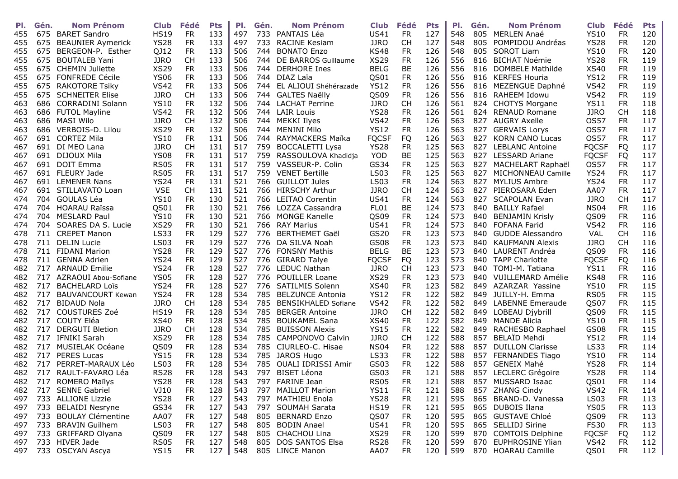| PI. | Gén. | <b>Nom Prénom</b>        | <b>Club</b>      | Fédé      | <b>Pts</b> | PI. | Gén. | <b>Nom Prénom</b>          | <b>Club</b>  | Fédé      | <b>Pts</b> | PI. | Gén. | <b>Nom Prénom</b>       | <b>Club</b>  | Fédé      | <b>Pts</b> |
|-----|------|--------------------------|------------------|-----------|------------|-----|------|----------------------------|--------------|-----------|------------|-----|------|-------------------------|--------------|-----------|------------|
| 455 |      | 675 BARET Sandro         | <b>HS19</b>      | <b>FR</b> | 133        | 497 |      | 733 PANTAIS Léa            | <b>US41</b>  | <b>FR</b> | 127        | 548 |      | 805 MERLEN Anaé         | <b>YS10</b>  | <b>FR</b> | 120        |
| 455 | 675  | <b>BEAUNIER Aymerick</b> | <b>YS28</b>      | <b>FR</b> | 133        | 497 |      | 733 RACINE Kesiam          | <b>JJRO</b>  | <b>CH</b> | 127        | 548 | 805  | POMPIDOU Andréas        | <b>YS28</b>  | <b>FR</b> | 120        |
| 455 | 675  | BERGEON-P. Esther        | QJ12             | <b>FR</b> | 133        | 506 |      | 744 BONATO Enzo            | <b>KS48</b>  | <b>FR</b> | 126        | 548 | 805  | <b>SOROT Liam</b>       | <b>YS10</b>  | <b>FR</b> | 120        |
| 455 | 675  | <b>BOUTALEB Yani</b>     | <b>JJRO</b>      | <b>CH</b> | 133        | 506 |      | 744 DE BARROS Guillaume    | <b>XS29</b>  | <b>FR</b> | 126        | 556 | 816  | <b>BICHAT Noémie</b>    | <b>YS28</b>  | <b>FR</b> | 119        |
| 455 | 675  | <b>CHEMIN Juliette</b>   | <b>XS29</b>      | <b>FR</b> | 133        | 506 |      | 744 DERHORE Ines           | <b>BELG</b>  | <b>BE</b> | 126        | 556 |      | 816 DOMBELE Mathilde    | <b>XS40</b>  | <b>FR</b> | 119        |
| 455 | 675  | <b>FONFREDE Cécile</b>   | <b>YS06</b>      | <b>FR</b> | 133        | 506 |      | 744 DIAZ Laïa              | QS01         | <b>FR</b> | 126        | 556 |      | 816 KERFES Houria       | <b>YS12</b>  | <b>FR</b> | 119        |
| 455 | 675  | <b>RAKOTORE Tsiky</b>    | <b>VS42</b>      | <b>FR</b> | 133        | 506 |      | 744 EL ALIOUI Shéhérazade  | <b>YS12</b>  | <b>FR</b> | 126        | 556 |      | 816 MEZENGUE Daphné     | <b>VS42</b>  | <b>FR</b> | 119        |
| 455 |      | 675 SCHNEITER Elise      | <b>JJRO</b>      | <b>CH</b> | 133        | 506 |      | 744 GALTES Naëlly          | QS09         | <b>FR</b> | 126        | 556 |      | 816 RAHEEM Idowu        | <b>VS42</b>  | <b>FR</b> | 119        |
| 463 | 686  | <b>CORRADINI Solann</b>  | <b>YS10</b>      | <b>FR</b> | 132        | 506 |      | 744 LACHAT Perrine         | <b>JJRO</b>  | <b>CH</b> | 126        | 561 |      | 824 CHOTYS Morgane      | <b>YS11</b>  | <b>FR</b> | 118        |
| 463 |      | 686 FUTOL Mayline        | <b>VS42</b>      | <b>FR</b> | 132        | 506 |      | 744 LAIR Louis             | <b>YS28</b>  | <b>FR</b> | 126        | 561 | 824  | <b>RENAUD Romane</b>    | <b>JJRO</b>  | <b>CH</b> | 118        |
| 463 |      | 686 MASI Wilo            | <b>JJRO</b>      | <b>CH</b> | 132        | 506 |      | 744 MEKKI Ilyes            | <b>VS42</b>  | <b>FR</b> | 126        | 563 |      | 827 AUGRY Axelle        | <b>OS57</b>  | <b>FR</b> | 117        |
| 463 |      | 686 VERBOIS-D. Lilou     | <b>XS29</b>      | <b>FR</b> | 132        | 506 |      | 744 MENINI Milo            | <b>YS12</b>  | <b>FR</b> | 126        | 563 | 827  | <b>GERVAIS Lorys</b>    | <b>OS57</b>  | <b>FR</b> | 117        |
| 467 |      | 691 CORTEZ Mila          | <b>YS10</b>      | <b>FR</b> | 131        | 506 |      | 744 RAYMACKERS Maïka       | <b>FOCSF</b> | FQ        | 126        | 563 | 827  | <b>KORN CANO Lucas</b>  | <b>OS57</b>  | <b>FR</b> | 117        |
| 467 | 691  | DI MEO Lana              | <b>JJRO</b>      | <b>CH</b> | 131        | 517 |      | 759 BOCCALETTI Lysa        | <b>YS28</b>  | <b>FR</b> | 125        | 563 |      | 827 LEBLANC Antoine     | <b>FQCSF</b> | <b>FQ</b> | 117        |
| 467 | 691  | DIJOUX Mila              | <b>YS08</b>      | <b>FR</b> | 131        | 517 |      | 759 RASSOULOVA Khadidja    | <b>YOD</b>   | <b>BE</b> | 125        | 563 | 827  | <b>LESSARD Ariane</b>   | <b>FQCSF</b> | <b>FQ</b> | 117        |
| 467 | 691  | <b>DOIT Emma</b>         | <b>RS05</b>      | <b>FR</b> | 131        | 517 |      | 759 VASSEUR-P. Colin       | GS34         | <b>FR</b> | 125        | 563 | 827  | MACHELART Raphaël       | <b>OS57</b>  | <b>FR</b> | 117        |
| 467 |      | 691 FLEURY Jade          | <b>RS05</b>      | <b>FR</b> | 131        | 517 |      | 759 VENET Bertille         | <b>LS03</b>  | <b>FR</b> | 125        | 563 | 827  | MICHONNEAU Camille      | <b>YS24</b>  | <b>FR</b> | 117        |
| 467 |      | 691 LEMENER Nans         | <b>YS24</b>      | <b>FR</b> | 131        | 521 |      | 766 GUILLOT Jules          | <b>LS03</b>  | <b>FR</b> | 124        | 563 | 827  | <b>MYLIUS Ambre</b>     | <b>YS24</b>  | <b>FR</b> | 117        |
| 467 |      | 691 STILLAVATO Loan      | <b>VSE</b>       | <b>CH</b> | 131        | 521 |      | 766 HIRSCHY Arthur         | <b>JJRO</b>  | <b>CH</b> | 124        | 563 | 827  | PIEROSARA Eden          | AA07         | <b>FR</b> | 117        |
| 474 | 704  | GOULAS Léa               | <b>YS10</b>      | <b>FR</b> | 130        | 521 |      | 766 LEITAO Corentin        | <b>US41</b>  | <b>FR</b> | 124        | 563 | 827  | <b>SCAPOLAN Evan</b>    | <b>JJRO</b>  | <b>CH</b> | 117        |
| 474 | 704  | <b>HOARAU Raïssa</b>     | QS01             | <b>FR</b> | 130        | 521 |      | 766 LOZZA Cassandra        | FL01         | <b>BE</b> | 124        | 573 | 840  | <b>BAILLY Rafael</b>    | <b>NS04</b>  | <b>FR</b> | 116        |
| 474 |      | 704 MESLARD Paul         | <b>YS10</b>      | <b>FR</b> | 130        | 521 |      | 766 MONGE Kanelle          | QS09         | <b>FR</b> | 124        | 573 | 840  | <b>BENJAMIN Krisly</b>  | QS09         | <b>FR</b> | 116        |
| 474 |      | 704 SOARES DA S. Lucie   | <b>XS29</b>      | <b>FR</b> | 130        | 521 |      | 766 RAY Marius             | <b>US41</b>  | <b>FR</b> | 124        | 573 | 840  | <b>FOFANA Farid</b>     | <b>VS42</b>  | <b>FR</b> | 116        |
| 478 |      | 711 CREPET Manon         | <b>LS33</b>      | <b>FR</b> | 129        | 527 |      | 776 BERTHEMET Gaël         | GS20         | <b>FR</b> | 123        | 573 | 840  | <b>GUDDE Alessandro</b> | <b>VAL</b>   | <b>CH</b> | 116        |
| 478 | 711  | <b>DELIN Lucie</b>       | <b>LS03</b>      | <b>FR</b> | 129        | 527 |      | 776 DA SILVA Noah          | GS08         | <b>FR</b> | 123        | 573 | 840  | <b>KAUFMANN Alexis</b>  | <b>JJRO</b>  | <b>CH</b> | 116        |
| 478 | 711  | <b>FIDANI Marion</b>     | <b>YS28</b>      | <b>FR</b> | 129        | 527 | 776  | <b>FONSNY Mathis</b>       | <b>BELG</b>  | <b>BE</b> | 123        | 573 |      | 840 LAURENT Andréa      | QS09         | <b>FR</b> | 116        |
| 478 | 711  | GENNA Adrien             | <b>YS24</b>      | <b>FR</b> | 129        | 527 |      | 776 GIRARD Talye           | <b>FQCSF</b> | FQ        | 123        | 573 |      | 840 TAPP Charlotte      | <b>FQCSF</b> | FQ        | 116        |
| 482 | 717  | <b>ARNAUD Emilie</b>     | <b>YS24</b>      | <b>FR</b> | 128        | 527 |      | 776 LEDUC Nathan           | <b>JJRO</b>  | <b>CH</b> | 123        | 573 | 840  | TOMI-M. Tatiana         | <b>YS11</b>  | <b>FR</b> | 116        |
| 482 | 717  | AZRAOUI Abou-Sofiane     | <b>YS05</b>      | <b>FR</b> | 128        | 527 |      | 776 POUILLER Loane         | <b>XS29</b>  | <b>FR</b> | 123        | 573 |      | 840 VUILLEMARD Amélie   | <b>KS48</b>  | <b>FR</b> | 116        |
| 482 | 717  | <b>BACHELARD Loïs</b>    | <b>YS24</b>      | <b>FR</b> | 128        | 527 |      | 776 SATILMIS Solenn        | <b>XS40</b>  | <b>FR</b> | 123        | 582 | 849  | AZARZAR Yassine         | <b>YS10</b>  | <b>FR</b> | 115        |
| 482 | 717  | <b>BAUVANCOURT Kewan</b> | <b>YS24</b>      | <b>FR</b> | 128        | 534 |      | 785 BELZUNCE Antonia       | <b>YS12</b>  | <b>FR</b> | 122        | 582 | 849  | JUILLY-H. Emma          | <b>RS05</b>  | <b>FR</b> | 115        |
| 482 | 717  | <b>BIDAUD Nola</b>       | <b>JJRO</b>      | <b>CH</b> | 128        | 534 | 785  | <b>BENSIKHALED Sofiane</b> | <b>VS42</b>  | <b>FR</b> | 122        | 582 |      | 849 LABENNE Emeraude    | QS07         | <b>FR</b> | 115        |
| 482 |      | 717 COUSTURES Zoé        | <b>HS19</b>      | <b>FR</b> | 128        | 534 |      | 785 BERGER Antoine         | <b>JJRO</b>  | <b>CH</b> | 122        | 582 | 849  | LOBEAU Djybrill         | QS09         | <b>FR</b> | 115        |
| 482 |      | 717 COUTY Eléa           | <b>XS40</b>      | <b>FR</b> | 128        | 534 |      | 785 BOUKAMEL Sana          | <b>XS40</b>  | <b>FR</b> | 122        | 582 | 849  | <b>MANDE Alicia</b>     | <b>YS10</b>  | <b>FR</b> | 115        |
| 482 | 717  | <b>DERGUTI Bletion</b>   | <b>JJRO</b>      | <b>CH</b> | 128        | 534 | 785  | <b>BUISSON Alexis</b>      | <b>YS15</b>  | <b>FR</b> | 122        | 582 | 849  | RACHESBO Raphael        | GS08         | <b>FR</b> | 115        |
| 482 |      | 717 IFNIKI Sarah         | <b>XS29</b>      | <b>FR</b> | 128        | 534 |      | 785 CAMPONOVO Calvin       | <b>JJRO</b>  | <b>CH</b> | 122        | 588 | 857  | BELAID Mehdi            | <b>YS12</b>  | <b>FR</b> | 114        |
| 482 |      | 717 MUSIELAK Océane      | QS09             | <b>FR</b> | 128        | 534 |      | 785 CIURLEO-C. Hisae       | <b>NS04</b>  | <b>FR</b> | 122        | 588 | 857  | <b>DUILLON Clarisse</b> | <b>LS33</b>  | <b>FR</b> | 114        |
| 482 |      | 717 PERES Lucas          | <b>YS15</b>      | <b>FR</b> | 128        | 534 | 785  | JAROS Hugo                 | <b>LS33</b>  | <b>FR</b> | 122        | 588 | 857  | <b>FERNANDES Tiago</b>  | <b>YS10</b>  | <b>FR</b> | 114        |
| 482 | 717  | PERRET-MARAUX Léo        | <b>LS03</b>      | <b>FR</b> | 128        | 534 | 785  | OUALI IDRISSI Amir         | GS03         | <b>FR</b> | 122        | 588 |      | 857 GENEIX Mahé         | <b>YS28</b>  | <b>FR</b> | 114        |
| 482 |      | 717 RAULT-FAVARO Léa     | <b>RS28</b>      | <b>FR</b> | 128        | 543 |      | 797 BISET Léona            | GS03         | <b>FR</b> | 121        | 588 |      | 857 LECLERC Grégoire    | <b>YS28</b>  | <b>FR</b> | 114        |
|     |      | 482 717 ROMERO Maïlys    | <b>YS28</b>      | <b>FR</b> | 128        | 543 |      | 797 FARINE Jean            | <b>RS05</b>  | <b>FR</b> | 121        | 588 |      | 857 MUSSARD Isaac       | QS01         | <b>FR</b> | 114        |
| 482 |      | 717 SENNE Gabriel        | VJ10             | <b>FR</b> | 128        | 543 |      | 797 MAILLOT Marion         | <b>YS11</b>  | <b>FR</b> | 121        | 588 |      | 857 ZHANG Cindy         | <b>VS42</b>  | <b>FR</b> | 114        |
| 497 |      | 733 ALLIONE Lizzie       | <b>YS28</b>      | FR        | 127        | 543 |      | 797 MATHIEU Enola          | <b>YS28</b>  | <b>FR</b> | 121        | 595 |      | 865 BRAND-D. Vanessa    | <b>LS03</b>  | <b>FR</b> | 113        |
| 497 |      | 733 BELAIDI Nesryne      | GS34             | <b>FR</b> | 127        | 543 |      | 797 SOUMAH Sarata          | <b>HS19</b>  | <b>FR</b> | 121        | 595 |      | 865 DUBOIS Ilana        | <b>YS05</b>  | <b>FR</b> | 113        |
| 497 |      | 733 BOULAY Clémentine    | AA07             | <b>FR</b> | 127        | 548 |      | 805 BERNARD Enzo           | QS07         | <b>FR</b> | 120        | 595 |      | 865 GUSTAVE Chloé       | QS09         | <b>FR</b> | 113        |
| 497 |      | 733 BRAVIN Guilhem       | LS <sub>03</sub> | <b>FR</b> | 127        | 548 |      | 805 BODIN Anael            | <b>US41</b>  | <b>FR</b> | 120        | 595 |      | 865 SELLIDJ Sirine      | <b>FS30</b>  | <b>FR</b> | 113        |
| 497 |      | 733 GRIFFARD Olyana      | QS09             | FR        | 127        | 548 |      | 805 CHACHOU Lina           | <b>XS29</b>  | <b>FR</b> | 120        | 599 |      | 870 COMTOIS Delphine    | <b>FQCSF</b> | FQ        | 112        |
| 497 |      | 733 HIVER Jade           | <b>RS05</b>      | FR        | 127        | 548 |      | 805 DOS SANTOS Elsa        | <b>RS28</b>  | FR.       | 120        | 599 |      | 870 EUPHROSINE Ylian    | <b>VS42</b>  | <b>FR</b> | 112        |
| 497 |      | 733 OSCYAN Ascya         | <b>YS15</b>      | <b>FR</b> | 127        | 548 |      | 805 LINCE Manon            | AA07         | <b>FR</b> | 120        | 599 |      | 870 HOARAU Camille      | QS01         | <b>FR</b> | 112        |
|     |      |                          |                  |           |            |     |      |                            |              |           |            |     |      |                         |              |           |            |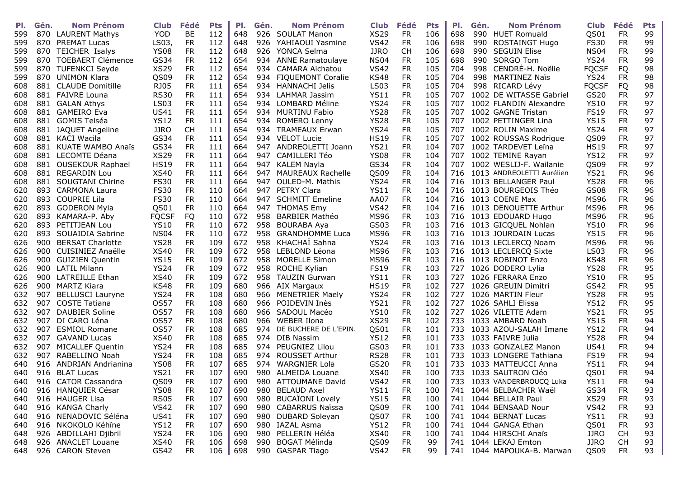| PI. | Gén. | <b>Nom Prénom</b>        | <b>Club</b>      | Fédé      | <b>Pts</b> | PI. | Gén. | <b>Nom Prénom</b>        | <b>Club</b>         | Fédé                   | <b>Pts</b> | PI.  | Gén. | <b>Nom Prénom</b>          | <b>Club</b>  | Fédé                   | <b>Pts</b> |
|-----|------|--------------------------|------------------|-----------|------------|-----|------|--------------------------|---------------------|------------------------|------------|------|------|----------------------------|--------------|------------------------|------------|
| 599 |      | 870 LAURENT Mathys       | <b>YOD</b>       | <b>BE</b> | 112        | 648 |      | 926 SOULAT Manon         | <b>XS29</b>         | <b>FR</b>              | 106        | 698  |      | 990 HUET Romuald           | QS01         | <b>FR</b>              | 99         |
| 599 | 870  | <b>PREMAT Lucas</b>      | LS03,            | <b>FR</b> | 112        | 648 | 926  | YAHIAOUI Yasmine         | <b>VS42</b>         | <b>FR</b>              | 106        | 698  | 990  | <b>ROSTAINGT Hugo</b>      | <b>FS30</b>  | <b>FR</b>              | 99         |
| 599 | 870  | <b>TEICHER Isalys</b>    | <b>YS08</b>      | <b>FR</b> | 112        | 648 | 926  | YONCA Selma              | <b>JJRO</b>         | <b>CH</b>              | 106        | 698  | 990  | <b>SEGUIN Elise</b>        | <b>NS04</b>  | <b>FR</b>              | 99         |
| 599 | 870  | <b>TOEBAERT Clémence</b> | GS34             | <b>FR</b> | 112        | 654 | 934  | <b>ANNE Ramatoulaye</b>  | NS <sub>04</sub>    | <b>FR</b>              | 105        | 698  | 990  | SORGO Tom                  | <b>YS24</b>  | <b>FR</b>              | 99         |
| 599 | 870  | TUFENKCI Seyde           | <b>XS29</b>      | <b>FR</b> | 112        | 654 | 934  | CAMARA Aichatou          | <b>VS42</b>         | <b>FR</b>              | 105        | 704  | 998  | CENDRÉ-H. Noëlie           | <b>FOCSF</b> | FQ                     | 98         |
| 599 | 870  | UNIMON Klara             | QS09             | <b>FR</b> | 112        | 654 | 934  | <b>FIQUEMONT Coralie</b> | <b>KS48</b>         | <b>FR</b>              | 105        | 704  |      | 998 MARTINEZ Naïs          | <b>YS24</b>  | <b>FR</b>              | 98         |
| 608 |      | 881 CLAUDE Domitille     | <b>RJ05</b>      | <b>FR</b> | 111        | 654 | 934  | HANNACHI Jelis           | <b>LS03</b>         | <b>FR</b>              | 105        | 704  |      | 998 RICARD Lévy            | <b>FQCSF</b> | FQ                     | 98         |
| 608 |      | 881 FAIVRE Louna         | <b>RS30</b>      | <b>FR</b> | 111        | 654 | 934. | LAHMAR Jassim            | <b>YS11</b>         | <b>FR</b>              | 105        | 707  |      | 1002 DE WITASSE Gabriel    | GS20         | <b>FR</b>              | 97         |
| 608 | 881  |                          | LS <sub>03</sub> | <b>FR</b> | 111        | 654 | 934  | LOMBARD Méline           | <b>YS24</b>         | <b>FR</b>              | 105        | 707  |      | 1002 FLANDIN Alexandre     | <b>YS10</b>  | <b>FR</b>              | 97         |
|     | 881  | GALAN Athys              |                  | <b>FR</b> | 111        | 654 | 934  |                          |                     | <b>FR</b>              | 105        | 707  |      | 1002 GAGNE Tristan         | <b>FS19</b>  |                        | 97         |
| 608 |      | <b>GAMEIRO Eva</b>       | <b>US41</b>      |           |            |     |      | <b>MURTINU Fabio</b>     | <b>YS28</b>         |                        | 105        |      |      |                            |              | <b>FR</b>              |            |
| 608 |      | 881 GOMIS Telséa         | <b>YS12</b>      | <b>FR</b> | 111        | 654 | 934  | <b>ROMERO Lenny</b>      | <b>YS28</b>         | <b>FR</b>              |            | 707  |      | 1002 PETTINGER Lina        | <b>YS15</b>  | <b>FR</b>              | 97         |
| 608 | 881  | JAQUET Angeline          | <b>JJRO</b>      | <b>CH</b> | 111        | 654 | 934  | <b>TRAMEAUX Erwan</b>    | <b>YS24</b>         | <b>FR</b>              | 105        |      |      | 707 1002 ROLIN Maxime      | <b>YS24</b>  | <b>FR</b>              | 97         |
| 608 | 881  | KACI Wacila              | GS34             | <b>FR</b> | 111        | 654 | 934  | <b>VELOT Lucie</b>       | <b>HS19</b>         | <b>FR</b>              | 105        |      |      | 707 1002 ROUSSAS Rodrigue  | QS09         | <b>FR</b>              | 97         |
| 608 |      | 881 KUATE WAMBO Anaïs    | GS34             | <b>FR</b> | 111        | 664 | 947  | ANDREOLETTI Joann        | <b>YS21</b>         | <b>FR</b>              | 104        |      |      | 707 1002 TARDEVET Leïna    | <b>HS19</b>  | <b>FR</b>              | 97         |
| 608 |      | 881 LECOMTE Déana        | <b>XS29</b>      | <b>FR</b> | 111        | 664 | 947  | CAMILLERI Téo            | <b>YS08</b>         | <b>FR</b>              | 104        |      |      | 707 1002 TEMINE Rayan      | <b>YS12</b>  | <b>FR</b>              | 97         |
| 608 |      | 881 OUSEKOUR Raphael     | <b>HS19</b>      | <b>FR</b> | 111        | 664 | 947  | <b>KALEM Nayla</b>       | GS34                | <b>FR</b>              | 104        | 707. |      | 1002 WESLIJ-F. Wailanie    | QS09         | <b>FR</b>              | 97         |
| 608 | 881  | <b>REGARDIN Lou</b>      | <b>XS40</b>      | <b>FR</b> | 111        | 664 | 947  | <b>MAUREAUX Rachelle</b> | QS09                | <b>FR</b>              | 104        | 716  |      | 1013 ANDREOLETTI Aurélien  | <b>YS21</b>  | <b>FR</b>              | 96         |
| 608 |      | 881 SOUGTANI Chirine     | <b>FS30</b>      | <b>FR</b> | 111        | 664 | 947  | <b>OULED-M. Mathis</b>   | <b>YS24</b>         | <b>FR</b>              | 104        |      |      | 716 1013 BELLANGER Paul    | <b>YS28</b>  | <b>FR</b>              | 96         |
| 620 |      | 893 CARMONA Laura        | <b>FS30</b>      | <b>FR</b> | 110        | 664 | 947  | <b>PETRY Clara</b>       | <b>YS11</b>         | <b>FR</b>              | 104        |      |      | 716 1013 BOURGEOIS Théo    | GS08         | <b>FR</b>              | 96         |
| 620 | 893  | <b>COUPRIE Lila</b>      | <b>FS30</b>      | <b>FR</b> | 110        | 664 |      | 947 SCHMITT Emeline      | AA07                | <b>FR</b>              | 104        | 716  |      | 1013 COENE Max             | <b>MS96</b>  | <b>FR</b>              | 96         |
| 620 |      | 893 GODERON Myla         | QS01             | <b>FR</b> | 110        | 664 | 947  | <b>THOMAS Emy</b>        | <b>VS42</b>         | <b>FR</b>              | 104        |      |      | 716 1013 DENOUETTE Arthur  | <b>MS96</b>  | <b>FR</b>              | 96         |
| 620 |      | 893 KAMARA-P. Aby        | <b>FQCSF</b>     | FQ        | 110        | 672 | 958  | <b>BARBIER Mathéo</b>    | <b>MS96</b>         | <b>FR</b>              | 103        |      |      | 716 1013 EDOUARD Hugo      | <b>MS96</b>  | <b>FR</b>              | 96         |
| 620 | 893  | PETITJEAN Lou            | <b>YS10</b>      | <b>FR</b> | 110        | 672 | 958  | <b>BOURABA Aya</b>       | GS03                | <b>FR</b>              | 103        |      |      | 716 1013 GICQUEL Nohlan    | <b>YS10</b>  | <b>FR</b>              | 96         |
| 620 | 893  | SOUAIDIA Sabrine         | <b>NS04</b>      | <b>FR</b> | 110        | 672 | 958  | <b>GRANDHOMME Luca</b>   | <b>MS96</b>         | <b>FR</b>              | 103        |      |      | 716 1013 JOURDAIN Lucas    | <b>YS15</b>  | <b>FR</b>              | 96         |
| 626 | 900  | <b>BERSAT Charlotte</b>  | <b>YS28</b>      | <b>FR</b> | 109        | 672 | 958  | KHACHAÏ Sahna            | <b>YS24</b>         | <b>FR</b>              | 103        |      |      | 716 1013 LECLERCQ Noam     | <b>MS96</b>  | <b>FR</b>              | 96         |
| 626 |      | 900 CUISINIEZ Anaëlle    | <b>XS40</b>      | <b>FR</b> | 109        | 672 | 958  | LEBLOND Léona            | <b>MS96</b>         | <b>FR</b>              | 103        |      |      | 716 1013 LECLERCQ Sixte    | <b>LS03</b>  | <b>FR</b>              | 96         |
| 626 |      | 900 GUIZIEN Quentin      | <b>YS15</b>      | <b>FR</b> | 109        | 672 | 958  | <b>MORELLE Simon</b>     | <b>MS96</b>         | <b>FR</b>              | 103        | 716  |      | 1013 ROBINOT Enzo          | <b>KS48</b>  | <b>FR</b>              | 96         |
| 626 |      | 900 LATIL Milann         | <b>YS24</b>      | <b>FR</b> | 109        | 672 | 958  | <b>ROCHE Kylian</b>      | <b>FS19</b>         | <b>FR</b>              | 103        |      |      | 727 1026 DODERO Lylia      | <b>YS28</b>  | <b>FR</b>              | 95         |
| 626 | 900  | LATREILLE Ethan          | <b>XS40</b>      | <b>FR</b> | 109        | 672 | 958  | <b>TAUZIN Gurwan</b>     | <b>YS11</b>         | <b>FR</b>              | 103        | 727  |      | 1026 FERRARA Enzo          | <b>YS10</b>  | <b>FR</b>              | 95         |
| 626 | 900  | MARTZ Kiara              | KS48             | <b>FR</b> | 109        | 680 | 966  | AIX Margaux              | <b>HS19</b>         | <b>FR</b>              | 102        | 727  |      | 1026 GREUIN Dimitri        | GS42         | <b>FR</b>              | 95         |
| 632 | 907  | <b>BELLUSCI Lauryne</b>  | <b>YS24</b>      | <b>FR</b> | 108        | 680 | 966  | <b>MENETRIER Maely</b>   | <b>YS24</b>         | <b>FR</b>              | 102        | 727  |      | 1026 MARTIN Fleur          | <b>YS28</b>  | <b>FR</b>              | 95         |
| 632 | 907  | <b>COSTE Tatiana</b>     | <b>OS57</b>      | <b>FR</b> | 108        | 680 | 966  | POIDEVIN Inès            | <b>YS21</b>         | <b>FR</b>              | 102        | 727  |      | 1026 SAHLI Elissa          | <b>YS12</b>  | <b>FR</b>              | 95         |
| 632 | 907  | <b>DAUBIER Soline</b>    | <b>OS57</b>      | <b>FR</b> | 108        | 680 | 966  | SADOUL Macéo             | <b>YS10</b>         | <b>FR</b>              | 102        | 727  |      | 1026 VILETTE Adam          | <b>YS21</b>  | <b>FR</b>              | 95         |
| 632 | 907  | DI CARO Léna             | <b>OS57</b>      | <b>FR</b> | 108        | 680 | 966  | <b>WEBER Ilona</b>       | <b>XS29</b>         | <b>FR</b>              | 102        |      |      | 733 1033 AMBARD Noah       | <b>YS15</b>  | <b>FR</b>              | 94         |
| 632 | 907  | <b>ESMIOL Romane</b>     | <b>OS57</b>      | <b>FR</b> | 108        | 685 | 974  | DE BUCHERE DE L'EPIN.    | QS01                | <b>FR</b>              | 101        | 733  |      | 1033 AZOU-SALAH Imane      | <b>YS12</b>  | <b>FR</b>              | 94         |
| 632 | 907  | <b>GAVAND Lucas</b>      | <b>XS40</b>      | <b>FR</b> | 108        | 685 | 974  | DIB Nassim               | <b>YS12</b>         | <b>FR</b>              | 101        | 733  |      | 1033 FAIVRE Julia          | <b>YS28</b>  | <b>FR</b>              | 94         |
| 632 | 907  | MICALLEF Quentin         | <b>YS24</b>      | <b>FR</b> | 108        | 685 | 974  | PEUGNIEZ Lilou           | GS03                | <b>FR</b>              | 101        | 733  |      | 1033 GONZALEZ Manon        | <b>US41</b>  | <b>FR</b>              | 94         |
| 632 | 907  | RABELLINO Noah           | <b>YS24</b>      | <b>FR</b> | 108        | 685 | 974  | <b>ROUSSET Arthur</b>    | <b>RS28</b>         | <b>FR</b>              | 101        | 733  |      | 1033 LONGERE Tathiana      | <b>FS19</b>  | <b>FR</b>              | 94         |
| 640 |      | 916 ANDRIAN Andrianina   | <b>YS08</b>      | <b>FR</b> | 107        | 685 | 974. | <b>WARGNIER Lola</b>     | GS20                | <b>FR</b>              | 101        |      |      | 733 1033 MATTEUCCI Anna    | <b>YS11</b>  | <b>FR</b>              | 94         |
| 640 |      | 916 BLAT Lucas           | <b>YS21</b>      | <b>FR</b> | 107        | 690 |      | 980 ALMEIDA Louane       | <b>XS40</b>         | <b>FR</b>              | 100        |      |      | 733 1033 SAUTRON Cléo      | QS01         | <b>FR</b>              | 94         |
|     |      | 640 916 CATOR Cassandra  | QS09             | <b>FR</b> | 107        | 690 |      | 980 ATTOUMANE David      | <b>VS42</b>         | <b>FR</b>              | 100        |      |      | 733 1033 VANDERBROUCQ Luka | <b>YS11</b>  | <b>FR</b>              | 94         |
| 640 |      | 916 HANQUIER César       | <b>YS08</b>      | FR        | 107        | 690 |      | 980 BELAUD Axel          | <b>YS11</b>         | <b>FR</b>              | 100        |      |      | 741 1044 BELBACHIR Waël    | GS34         | <b>FR</b>              | 93         |
| 640 |      | 916 HAUGER Lisa          | <b>RS05</b>      | FR        | 107        | 690 | 980  | <b>BUCAÏONI Lovely</b>   | <b>YS15</b>         | <b>FR</b>              | 100        |      |      | 741 1044 BELLAIR Paul      | <b>XS29</b>  | FR.                    | 93         |
| 640 |      | 916 KANGA Charly         | <b>VS42</b>      | <b>FR</b> | 107        | 690 |      | 980 CABARRUS Naïssa      | QS09                | <b>FR</b>              | 100        |      |      | 741 1044 BENSAAD Nour      | <b>VS42</b>  | <b>FR</b>              | 93         |
|     |      | 916 NENADOVIC Séléna     | <b>US41</b>      | <b>FR</b> | 107        | 690 |      | 980 DUBARD Soleyan       |                     |                        | 100        |      |      | 741 1044 BERNAT Lucas      | <b>YS11</b>  |                        | 93         |
| 640 |      | 916 NKOKOLO Kéhïne       | <b>YS12</b>      | <b>FR</b> | 107        | 690 |      | 980 IAZAL Asma           | QS07<br><b>YS12</b> | <b>FR</b><br><b>FR</b> | 100        |      |      | 741 1044 GANGA Ethan       | QS01         | <b>FR</b><br><b>FR</b> | 93         |
| 640 |      | 926 ABDILLAHI Djibril    | <b>YS24</b>      | FR        | 106        | 690 | 980  | PELLERIN Héléa           | <b>XS40</b>         | <b>FR</b>              | 100        |      |      | 741 1044 HIRSCHI Anaïs     | <b>JJRO</b>  | CH                     | 93         |
| 648 |      |                          |                  |           |            |     |      |                          |                     |                        |            |      |      |                            |              |                        |            |
| 648 |      | 926 ANACLET Louane       | <b>XS40</b>      | FR        | 106        | 698 | 990  | <b>BOGAT Mélinda</b>     | QS09                | <b>FR</b>              | 99         |      |      | 741 1044 LEKAJ Emton       | <b>JJRO</b>  | СH                     | 93         |
| 648 |      | 926 CARON Steven         | GS42             | <b>FR</b> | 106        | 698 |      | 990 GASPAR Tiago         | <b>VS42</b>         | <b>FR</b>              | 99         |      |      | 741 1044 MAPOUKA-B. Marwan | QS09         | <b>FR</b>              | 93         |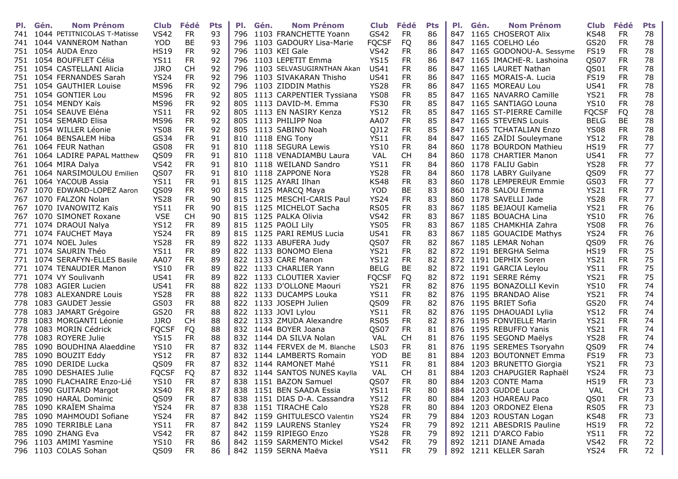| PI. | <b>Nom Prénom</b><br>Gén.     | <b>Club</b>  | Fédé      | <b>Pts</b> | PI.  | Gén. | <b>Nom Prénom</b>             | Club Fédé    |           | <b>Pts</b> | PI. | Gén. | <b>Nom Prénom</b>           | <b>Club</b>  | Fédé      | <b>Pts</b> |
|-----|-------------------------------|--------------|-----------|------------|------|------|-------------------------------|--------------|-----------|------------|-----|------|-----------------------------|--------------|-----------|------------|
| 741 | 1044 PETITNICOLAS T-Matisse   | <b>VS42</b>  | <b>FR</b> | 93         | 796  |      | 1103 FRANCHETTE Yoann         | GS42         | <b>FR</b> | 86         |     |      | 847 1165 CHOSEROT Alix      | <b>KS48</b>  | <b>FR</b> | 78         |
|     | 741 1044 VANNEROM Nathan      | <b>YOD</b>   | <b>BE</b> | 93         |      |      | 796 1103 GADOURY Lisa-Marie   | <b>FOCSF</b> | FQ        | 86         |     |      | 847 1165 COELHO Léo         | GS20         | <b>FR</b> | 78         |
|     | 751 1054 AUDA Enzo            | <b>HS19</b>  | <b>FR</b> | 92         |      |      | 796 1103 KEI Gale             | <b>VS42</b>  | <b>FR</b> | 86         |     |      | 847 1165 GODONOU-A. Sessyme | <b>FS19</b>  | <b>FR</b> | 78         |
|     | 751 1054 BOUFFLET Célia       | <b>YS11</b>  | <b>FR</b> | 92         | 796  |      | 1103 LEPETIT Emma             | <b>YS15</b>  | <b>FR</b> | 86         |     |      | 847 1165 IMACHE-R. Lashoina | QS07         | <b>FR</b> | 78         |
|     | 751 1054 CASTELLANI Alicia    | <b>JJRO</b>  | <b>CH</b> | 92         | 796  |      | 1103 SELVASUGIRNTHAN Akan     | <b>US41</b>  | <b>FR</b> | 86         | 847 |      | 1165 LAURET Nathan          | QS01         | <b>FR</b> | 78         |
|     | 751 1054 FERNANDES Sarah      | <b>YS24</b>  | <b>FR</b> | 92         | 796  |      | 1103 SIVAKARAN Thisho         | <b>US41</b>  | <b>FR</b> | 86         | 847 |      | 1165 MORAIS-A. Lucia        | <b>FS19</b>  | <b>FR</b> | 78         |
|     | 751 1054 GAUTHIER Louise      | <b>MS96</b>  | <b>FR</b> | 92         |      |      | 796 1103 ZIDDIN Mathis        | <b>YS28</b>  | <b>FR</b> | 86         |     |      | 847 1165 MOREAU Lou         | <b>US41</b>  | <b>FR</b> | 78         |
|     | 751 1054 GONTIER Lou          | <b>MS96</b>  | <b>FR</b> | 92         | 805. |      | 1113 CARPENTIER Tyssiana      | <b>YS08</b>  | <b>FR</b> | 85         |     |      | 847 1165 NAVARRO Camille    | <b>YS21</b>  | <b>FR</b> | 78         |
|     | 751 1054 MENDY Kaïs           | <b>MS96</b>  | <b>FR</b> | 92         | 805  |      | 1113 DAVID-M. Emma            | <b>FS30</b>  | <b>FR</b> | 85         | 847 |      | 1165 SANTIAGO Louna         | <b>YS10</b>  | <b>FR</b> | 78         |
|     | 751 1054 SEAUVE Eléna         | <b>YS11</b>  | <b>FR</b> | 92         | 805  |      | 1113 EN NASIRY Kenza          | <b>YS12</b>  | <b>FR</b> | 85         | 847 |      | 1165 ST-PIERRE Camille      | <b>FOCSF</b> | FQ        | 78         |
|     | 751 1054 SEMARD Elisa         | <b>MS96</b>  | <b>FR</b> | 92         | 805  |      | 1113 PHILIPP Noa              | AA07         | <b>FR</b> | 85         |     |      | 847 1165 STEVENS Louis      | <b>BELG</b>  | BE        | 78         |
|     | 751 1054 WILLER Léonie        | <b>YS08</b>  | <b>FR</b> | 92         |      |      | 805 1113 SABINO Noah          | QJ12         | <b>FR</b> | 85         |     |      | 847 1165 TCHATALIAN Enzo    | <b>YS08</b>  | FR        | 78         |
|     | 761 1064 BENSALEM Hiba        | GS34         | <b>FR</b> | 91         |      |      | 810 1118 ENG Tony             | <b>YS11</b>  | <b>FR</b> | 84         |     |      | 847 1165 ZAÏDI Souleymane   | <b>YS12</b>  | <b>FR</b> | 78         |
|     | 761 1064 FEUR Nathan          | GS08         | <b>FR</b> | 91         |      |      | 810 1118 SEGURA Lewis         | <b>YS10</b>  | <b>FR</b> | 84         | 860 |      | 1178 BOURDON Mathieu        | <b>HS19</b>  | <b>FR</b> | 77         |
|     | 761 1064 LADIRE PAPAL Matthew | QS09         | <b>FR</b> | 91         |      |      | 810 1118 VENADIAMBU Laura     | VAL          | <b>CH</b> | 84         | 860 |      | 1178 CHARTIER Manon         | <b>US41</b>  | <b>FR</b> | 77         |
|     | 761 1064 MIRA Dalya           | <b>VS42</b>  | <b>FR</b> | 91         | 810  |      | 1118 WEILAND Sandro           | <b>YS11</b>  | <b>FR</b> | 84         | 860 |      | 1178 FALIU Gabin            | <b>YS28</b>  | <b>FR</b> | 77         |
|     | 761 1064 NARSIMOULOU Emilien  | QS07         | <b>FR</b> | 91         |      |      | 810 1118 ZAPPONE Nora         | <b>YS28</b>  | <b>FR</b> | 84         |     |      | 860 1178 LABRY Guilyane     | QS09         | <b>FR</b> | 77         |
| 761 | 1064 YACOUB Assia             | <b>YS11</b>  | <b>FR</b> | 91         |      |      | 815 1125 AYARI Ilhan          | <b>KS48</b>  | <b>FR</b> | 83         | 860 |      | 1178 LEMPEREUR Emmie        | GS03         | <b>FR</b> | 77         |
|     | 767 1070 EDWARD-LOPEZ Aaron   | QS09         | <b>FR</b> | 90         | 815  |      | 1125 MARCQ Maya               | <b>YOD</b>   | <b>BE</b> | 83         | 860 |      | 1178 SALOU Emma             | <b>YS21</b>  | <b>FR</b> | 77         |
|     | 767 1070 FALZON Nolan         | <b>YS28</b>  | <b>FR</b> | 90         | 815  |      | 1125 MESCHI-CARIS Paul        | <b>YS24</b>  | <b>FR</b> | 83         | 860 |      | 1178 SAVELLI Jade           | <b>YS28</b>  | <b>FR</b> | 77         |
| 767 | 1070 IVANOWITZ Kaïs           | <b>YS11</b>  | <b>FR</b> | 90         | 815  |      | 1125 MICHELOT Sacha           | <b>RS05</b>  | <b>FR</b> | 83         |     |      | 867 1185 BEJAOUI Kamelia    | <b>YS21</b>  | <b>FR</b> | 76         |
|     | 767 1070 SIMONET Roxane       | <b>VSE</b>   | <b>CH</b> | 90         |      |      | 815 1125 PALKA Olivia         | <b>VS42</b>  | <b>FR</b> | 83         |     |      | 867 1185 BOUACHA Lina       | <b>YS10</b>  | <b>FR</b> | 76         |
|     | 771 1074 DRAOUI Nalya         | <b>YS12</b>  | <b>FR</b> | 89         |      |      | 815 1125 PAOLI Lily           | <b>YS05</b>  | <b>FR</b> | 83         |     |      | 867 1185 CHAMKHIA Zahra     | <b>YS08</b>  | <b>FR</b> | 76         |
|     | 771 1074 FAUCHET Maya         | <b>YS24</b>  | <b>FR</b> | 89         |      |      | 815 1125 PARI REMUS Lucia     | <b>US41</b>  | <b>FR</b> | 83         |     |      | 867 1185 GOUACIDE Mathys    | <b>YS24</b>  | <b>FR</b> | 76         |
|     | 771 1074 NOEL Jules           | <b>YS28</b>  | <b>FR</b> | 89         |      |      | 822 1133 ABUFERA Judy         | QS07         | <b>FR</b> | 82         |     |      | 867 1185 LEMAR Nohan        | QS09         | <b>FR</b> | 76         |
| 771 | 1074 SAURIN Théo              | <b>YS11</b>  | <b>FR</b> | 89         | 822  |      | 1133 BONOMO Elena             | <b>YS21</b>  | <b>FR</b> | 82         |     |      | 872 1191 BERGHA Selma       | <b>HS19</b>  | <b>FR</b> | 75         |
|     | 771 1074 SERAFYN-ELLES Basile | AA07         | <b>FR</b> | 89         |      |      | 822 1133 CARE Manon           | <b>YS12</b>  | <b>FR</b> | 82         |     |      | 872 1191 DEPHIX Soren       | <b>YS21</b>  | <b>FR</b> | 75         |
|     | 771 1074 TENAUDIER Manon      | <b>YS10</b>  | <b>FR</b> | 89         |      |      | 822 1133 CHARLIER Yann        | <b>BELG</b>  | <b>BE</b> | 82         |     |      | 872 1191 GARCIA Leylou      | <b>YS11</b>  | <b>FR</b> | 75         |
|     | 771 1074 VY Soulivanh         | <b>US41</b>  | <b>FR</b> | 89         | 822  |      | 1133 CLOUTIER Xavier          | <b>FQCSF</b> | FQ        | 82         |     |      | 872 1191 SERRE Rémy         | <b>YS21</b>  | <b>FR</b> | 75         |
|     | 778 1083 AGIER Lucien         | <b>US41</b>  | <b>FR</b> | 88         |      |      | 822 1133 D'OLLONE Maouri      | <b>YS21</b>  | <b>FR</b> | 82         | 876 |      | 1195 BONAZOLLI Kevin        | <b>YS10</b>  | <b>FR</b> | 74         |
| 778 | 1083 ALEXANDRE Louis          | <b>YS28</b>  | <b>FR</b> | 88         | 822  |      | 1133 DUCAMPS Louka            | <b>YS11</b>  | <b>FR</b> | 82         | 876 |      | 1195 BRANDAO Alise          | <b>YS21</b>  | <b>FR</b> | 74         |
|     | 778 1083 GAUDET Jessie        | GS03         | <b>FR</b> | 88         |      |      | 822 1133 JOSEPH Julien        | QS09         | <b>FR</b> | 82         |     |      | 876 1195 BRIET Sofia        | GS20         | FR        | 74         |
|     | 778 1083 JAMART Grégoire      | GS20         | <b>FR</b> | 88         |      |      | 822 1133 JOVI Lylou           | <b>YS11</b>  | <b>FR</b> | 82         |     |      | 876 1195 DHAOUADI Lylia     | <b>YS12</b>  | <b>FR</b> | 74         |
|     | 778 1083 MORGANTI Léonie      | <b>JJRO</b>  | <b>CH</b> | 88         |      |      | 822 1133 ZMUDA Alexandre      | <b>RS05</b>  | <b>FR</b> | 82         | 876 |      | 1195 FONVIELLE Marin        | <b>YS21</b>  | <b>FR</b> | 74         |
|     | 778 1083 MORIN Cédrick        | <b>FQCSF</b> | <b>FQ</b> | 88         |      |      | 832 1144 BOYER Joana          | QS07         | <b>FR</b> | 81         | 876 |      | 1195 REBUFFO Yanis          | <b>YS21</b>  | <b>FR</b> | 74         |
| 778 | 1083 ROYERE Julie             | <b>YS15</b>  | <b>FR</b> | 88         | 832  |      | 1144 DA SILVA Nolan           | VAL          | <b>CH</b> | 81         |     |      | 876 1195 SEGOND Maëlys      | <b>YS28</b>  | FR.       | 74         |
| 785 | 1090 BOUDHINA Alaeddine       | <b>YS10</b>  | <b>FR</b> | 87         |      |      | 832 1144 FERVEX de M. Blanche | <b>LS03</b>  | <b>FR</b> | 81         |     |      | 876 1195 SEREMES Tsoryahn   | QS09         | <b>FR</b> | 74         |
| 785 | 1090 BOUZIT Eddy              | <b>YS12</b>  | <b>FR</b> | 87         |      |      | 832 1144 LAMBERTS Romain      | <b>YOD</b>   | <b>BE</b> | 81         | 884 |      | 1203 BOUTONNET Emma         | <b>FS19</b>  | FR.       | 73         |
| 785 | 1090 DERIDE Lucka             | QS09         | <b>FR</b> | 87         | 832  |      | 1144 RAMONET Mahé             | <b>YS11</b>  | <b>FR</b> | 81         | 884 |      | 1203 BRUNETTO Giorgia       | <b>YS21</b>  | <b>FR</b> | 73         |
|     | 785 1090 DESHAIES Julie       | <b>FQCSF</b> | FQ        | 87         |      |      | 832 1144 SANTOS NUNES Kaylla  | <b>VAL</b>   | <b>CH</b> | 81         | 884 |      | 1203 CHAPUGIER Raphaël      | <b>YS24</b>  | <b>FR</b> | 73         |
|     | 785 1090 FLACHAIRE Enzo-Lié   | <b>YS10</b>  | <b>FR</b> | 87         |      |      | 838 1151 BAZON Samuel         | QS07         | <b>FR</b> | 80         |     |      | 884 1203 CONTE Mama         | <b>HS19</b>  | <b>FR</b> | 73         |
|     | 785 1090 GUITARD Margot       | <b>XS40</b>  | FR        | 87         |      |      | 838 1151 BEN SAADA Essia      | <b>YS11</b>  | FR.       | 80         |     |      | 884 1203 GUDDE Luca         | VAL          | <b>CH</b> | 73         |
|     | 785 1090 HARAL Dominic        | QS09         | FR        | 87         |      |      | 838 1151 DIAS D-A. Cassandra  | <b>YS12</b>  | <b>FR</b> | 80         |     |      | 884 1203 HOAREAU Paco       | QS01         | <b>FR</b> | 73         |
|     | 785 1090 KRAÏEM Shaïma        | <b>YS24</b>  | <b>FR</b> | 87         |      |      | 838 1151 TIRACHE Calo         | <b>YS28</b>  | <b>FR</b> | 80         |     |      | 884 1203 ORDONEZ Elena      | <b>RS05</b>  | <b>FR</b> | 73         |
|     | 785 1090 MAHMOUDI Sofiane     | <b>YS24</b>  | <b>FR</b> | 87         |      |      | 842 1159 GHITULESCO Valentin  | <b>YS24</b>  | <b>FR</b> | 79         |     |      | 884 1203 ROUSTAN Logan      | <b>KS48</b>  | FR.       | 73         |
|     | 785 1090 TERRIBLE Lana        | <b>YS11</b>  | <b>FR</b> | 87         |      |      | 842 1159 LAURENS Stanley      | <b>YS24</b>  | <b>FR</b> | 79         |     |      | 892 1211 ABESDRIS Pauline   | <b>HS19</b>  | FR.       | 72         |
|     | 785 1090 ZHANG Eva            | <b>VS42</b>  | <b>FR</b> | 87         |      |      | 842 1159 RIPIEGO Enzo         | <b>YS28</b>  | FR.       | 79         |     |      | 892 1211 D'ARCO Fabio       | <b>YS11</b>  | FR.       | 72         |
|     | 796 1103 AMIMI Yasmine        | <b>YS10</b>  | FR        | 86         |      |      | 842 1159 SARMENTO Mickel      | <b>VS42</b>  | FR.       | 79         |     |      | 892 1211 DIANE Amada        | <b>VS42</b>  | FR.       | 72         |
|     | 796 1103 COLAS Sohan          | QS09         | <b>FR</b> | 86         |      |      | 842 1159 SERNA Maëva          | <b>YS11</b>  | <b>FR</b> | 79         |     |      | 892 1211 KELLER Sarah       | <b>YS24</b>  | FR.       | 72         |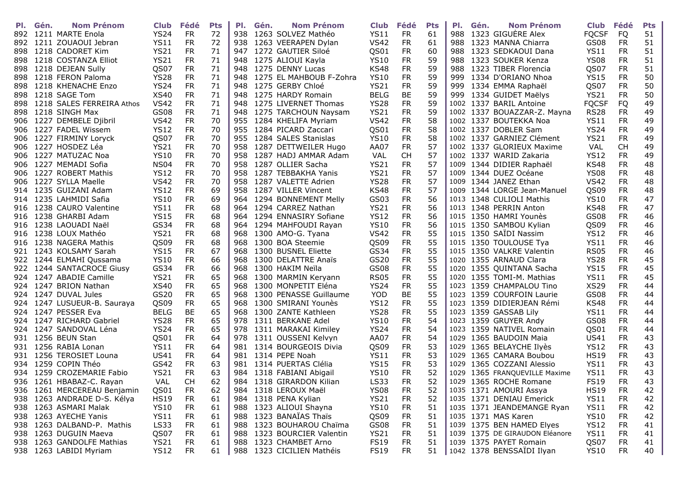| PI. | <b>Nom Prénom</b><br>Gén.     | <b>Club</b> | Fédé      | <b>Pts</b> | PI. | Gén. | <b>Nom Prénom</b>           | <b>Club</b> | Fédé      | <b>Pts</b> | PI.  | Gén. | <b>Nom Prénom</b>              | Club Fédé        |           | <b>Pts</b> |
|-----|-------------------------------|-------------|-----------|------------|-----|------|-----------------------------|-------------|-----------|------------|------|------|--------------------------------|------------------|-----------|------------|
|     | 892 1211 MARTE Enola          | <b>YS24</b> | <b>FR</b> | 72         | 938 |      | 1263 SOLVEZ Mathéo          | <b>YS11</b> | <b>FR</b> | 61         | 988  |      | 1323 GIGUERE Alex              | <b>FQCSF</b>     | FQ        | 51         |
|     | 892 1211 ZOUAOUI Jebran       | <b>YS11</b> | <b>FR</b> | 72         |     |      | 938 1263 VEERAPEN Dylan     | <b>VS42</b> | <b>FR</b> | 61         | 988  |      | 1323 MANNA Chiarra             | GS08             | <b>FR</b> | 51         |
|     | 898 1218 CADORET Kim          | <b>YS21</b> | <b>FR</b> | 71         |     |      | 947 1272 GAUTIER Siloé      | QS01        | <b>FR</b> | 60         | 988  |      | 1323 SEDKAOUI Dana             | <b>YS11</b>      | <b>FR</b> | 51         |
|     | 898 1218 COSTANZA Elliot      | <b>YS21</b> | <b>FR</b> | 71         |     |      | 948 1275 ALIOUI Kayla       | <b>YS10</b> | <b>FR</b> | 59         | 988  |      | 1323 SOUKER Kenza              | <b>YS08</b>      | <b>FR</b> | 51         |
|     | 898 1218 DEJEAN Sully         | QS07        | <b>FR</b> | 71         | 948 |      | 1275 DENNY Lucas            | <b>KS48</b> | <b>FR</b> | 59         | 988  |      | 1323 TIBER Florencia           | QS07             | <b>FR</b> | 51         |
|     | 898 1218 FERON Paloma         | <b>YS28</b> | <b>FR</b> | 71         |     |      | 948 1275 EL MAHBOUB F-Zohra | <b>YS10</b> | <b>FR</b> | 59         | 999  |      | 1334 D'ORIANO Nhoa             | <b>YS15</b>      | <b>FR</b> | 50         |
|     | 898 1218 KHENACHE Enzo        | <b>YS24</b> | <b>FR</b> | 71         |     |      | 948 1275 GERBY Chloé        | <b>YS21</b> | <b>FR</b> | 59         | 999. |      | 1334 EMMA Raphaël              | QS07             | <b>FR</b> | 50         |
|     | 898 1218 SAGE Tom             | <b>XS40</b> | <b>FR</b> | 71         |     |      | 948 1275 HARDY Romain       | <b>BELG</b> | <b>BE</b> | 59         |      |      | 999 1334 GUIDET Maëlys         | <b>YS21</b>      | <b>FR</b> | 50         |
|     | 898 1218 SALES FERREIRA Athos | <b>VS42</b> | <b>FR</b> | 71         | 948 |      | 1275 LIVERNET Thomas        | <b>YS28</b> | <b>FR</b> | 59         |      |      | 1002 1337 BARIL Antoine        | <b>FQCSF</b>     | <b>FQ</b> | 49         |
|     | 898 1218 SINGH Max            | <b>GS08</b> | <b>FR</b> | 71         | 948 |      | 1275 TARCHOUN Naysam        | <b>YS21</b> | <b>FR</b> | 59         |      |      | 1002 1337 BOUAZZAR-Z. Mayna    | <b>RS28</b>      | <b>FR</b> | 49         |
|     | 906 1227 DEMBELE Djibril      | <b>VS42</b> | <b>FR</b> | 70         |     |      | 955 1284 KHELIFA Myriam     | <b>VS42</b> | <b>FR</b> | 58         |      |      | 1002 1337 BOUTEKKA Noa         | <b>YS11</b>      | <b>FR</b> | 49         |
|     | 906 1227 FADEL Wissem         | <b>YS12</b> | <b>FR</b> | 70         |     |      | 955 1284 PICARD Zaccari     | QS01        | <b>FR</b> | 58         |      |      | 1002 1337 DOBLER Sam           | <b>YS24</b>      | <b>FR</b> | 49         |
|     | 906 1227 FIRMINY Loryck       | QS07        | <b>FR</b> | 70         |     |      | 955 1284 SALES Stanislas    | <b>YS10</b> | <b>FR</b> | 58         |      |      | 1002 1337 GARNIEZ Clément      | <b>YS21</b>      | <b>FR</b> | 49         |
|     | 906 1227 HOSDEZ Léa           | <b>YS21</b> | <b>FR</b> | 70         | 958 |      | 1287 DETTWEILER Hugo        | AA07        | <b>FR</b> | 57         |      |      | 1002 1337 GLORIEUX Maxime      | <b>VAL</b>       | <b>CH</b> | 49         |
|     | 906 1227 MATUZAC Noa          | <b>YS10</b> | <b>FR</b> | 70         | 958 |      | 1287 HADJ AMMAR Adam        | VAL         | <b>CH</b> | 57         |      |      | 1002 1337 WARID Zakaria        | <b>YS12</b>      | <b>FR</b> | 49         |
|     | 906 1227 MEMADI Sofia         | <b>NS04</b> | <b>FR</b> | 70         | 958 |      | 1287 OLLIER Sacha           | <b>YS21</b> | <b>FR</b> | 57         |      |      | 1009 1344 DIDIER Raphaël       | <b>KS48</b>      | <b>FR</b> | 48         |
|     | 906 1227 ROBERT Mathis        | <b>YS12</b> | <b>FR</b> | 70         |     |      | 958 1287 TEBBAKHA Yanis     | <b>YS21</b> | <b>FR</b> | 57         |      |      | 1009 1344 DUEZ Océane          | <b>YS08</b>      | <b>FR</b> | 48         |
|     | 906 1227 SYLLA Maelle         | <b>VS42</b> | <b>FR</b> | 70         |     |      | 958 1287 VALETTE Adrien     | <b>YS28</b> | <b>FR</b> | 57         |      |      | 1009 1344 JANEZ Ethan          | <b>VS42</b>      | <b>FR</b> | 48         |
|     | 914 1235 GUIZANI Adam         | <b>YS12</b> | <b>FR</b> | 69         | 958 |      | 1287 VILLER Vincent         | <b>KS48</b> | <b>FR</b> | 57         |      |      | 1009 1344 LORGE Jean-Manuel    | QS <sub>09</sub> | <b>FR</b> | 48         |
|     | 914 1235 LAHMIDI Safia        | <b>YS10</b> | <b>FR</b> | 69         | 964 |      | 1294 BONNEMENT Melly        | GS03        | <b>FR</b> | 56         |      |      | 1013 1348 CULIOLI Mathis       | <b>YS10</b>      | <b>FR</b> | 47         |
|     | 916 1238 CAURO Valentine      | <b>YS11</b> | <b>FR</b> | 68         |     |      | 964 1294 CARREZ Nathan      | <b>YS21</b> | <b>FR</b> | 56         |      |      | 1013 1348 PERRIN Anton         | <b>KS48</b>      | <b>FR</b> | 47         |
|     | 916 1238 GHARBI Adam          | <b>YS15</b> | <b>FR</b> | 68         |     |      | 964 1294 ENNASIRY Sofiane   | <b>YS12</b> | <b>FR</b> | 56         |      |      | 1015 1350 HAMRI Younès         | GS08             | <b>FR</b> | 46         |
|     | 916 1238 LAOUADI Naël         | GS34        | <b>FR</b> | 68         |     |      | 964 1294 MAHFOUDI Rayan     | <b>YS10</b> | <b>FR</b> | 56         |      |      | 1015 1350 SAMBOU Kylian        | QS09             | <b>FR</b> | 46         |
|     | 916 1238 LOUX Mathéo          | <b>YS21</b> | <b>FR</b> | 68         |     |      | 968 1300 AMO-G. Tyana       | <b>VS42</b> | <b>FR</b> | 55         |      |      | 1015 1350 SAÏDI Nassim         | <b>YS12</b>      | <b>FR</b> | 46         |
|     | 916 1238 NAGERA Mathis        | QS09        | <b>FR</b> | 68         |     |      | 968 1300 BOA Steemie        | QS09        | <b>FR</b> | 55         |      |      | 1015 1350 TOULOUSE Tya         | <b>YS11</b>      | <b>FR</b> | 46         |
|     | 921 1243 KOLSAMY Sarah        | <b>YS15</b> | <b>FR</b> | 67         | 968 |      | 1300 BUSNEL Eliette         | GS34        | <b>FR</b> | 55         |      |      | 1015 1350 VALKRE Valentin      | <b>RS05</b>      | <b>FR</b> | 46         |
|     | 922 1244 ELMAHI Qussama       | <b>YS10</b> | FR.       | 66         |     |      | 968 1300 DELATTRE Anaïs     | GS20        | <b>FR</b> | 55         |      |      | 1020 1355 ARNAUD Clara         | <b>YS28</b>      | <b>FR</b> | 45         |
|     | 922 1244 SANTACROCE Giusy     | GS34        | <b>FR</b> | 66         |     |      | 968 1300 HAKIM Neïla        | GS08        | <b>FR</b> | 55         |      |      | 1020 1355 QUINTANA Sacha       | <b>YS15</b>      | <b>FR</b> | 45         |
|     | 924 1247 ABADIE Camille       | <b>YS21</b> | <b>FR</b> | 65         | 968 |      | 1300 MARMIN Keryann         | <b>RS05</b> | <b>FR</b> | 55         |      |      | 1020 1355 TOMI-M. Mathias      | <b>YS11</b>      | <b>FR</b> | 45         |
|     | 924 1247 BRION Nathan         | <b>XS40</b> | <b>FR</b> | 65         | 968 |      | 1300 MONPETIT Eléna         | <b>YS24</b> | <b>FR</b> | 55         | 1023 |      | 1359 CHAMPALOU Tino            | <b>XS29</b>      | <b>FR</b> | 44         |
|     | 924 1247 DUVAL Jules          | GS20        | <b>FR</b> | 65         | 968 |      | 1300 PENASSE Guillaume      | <b>YOD</b>  | BE        | 55         | 1023 |      | 1359 COURFOIN Laurie           | GS08             | <b>FR</b> | 44         |
|     | 924 1247 LUSUEUR-B. Sauraya   | QS09        | FR.       | 65         | 968 |      | 1300 SMIRANI Younès         | <b>YS12</b> | <b>FR</b> | 55         |      |      | 1023 1359 DIDIERJEAN Rémi      | <b>KS48</b>      | <b>FR</b> | 44         |
|     | 924 1247 PESSER Eva           | <b>BELG</b> | BE        | 65         | 968 |      | 1300 ZANTE Kathleen         | <b>YS28</b> | <b>FR</b> | 55         |      |      | 1023 1359 GASSAB Lily          | <b>YS11</b>      | <b>FR</b> | 44         |
|     | 924 1247 RICHARD Gabriel      | <b>YS28</b> | <b>FR</b> | 65         | 978 |      | 1311 BERKANE Adel           | <b>YS10</b> | <b>FR</b> | 54         |      |      | 1023 1359 GRUYER Andy          | GS08             | <b>FR</b> | 44         |
|     | 924 1247 SANDOVAL Léna        | <b>YS24</b> | <b>FR</b> | 65         |     |      | 978 1311 MARAKAI Kimiley    | <b>YS24</b> | <b>FR</b> | 54         | 1023 |      | 1359 NATIVEL Romain            | QS01             | <b>FR</b> | 44         |
|     | 931 1256 BEUN Stan            | QS01        | <b>FR</b> | 64         | 978 |      | 1311 OUSSENI Kelvyn         | AA07        | <b>FR</b> | 54         | 1029 |      | 1365 BAUDOIN Maia              | <b>US41</b>      | <b>FR</b> | 43         |
|     | 931 1256 RABIA Lonan          | <b>YS11</b> | <b>FR</b> | 64         |     |      | 981 1314 BOURGEOIS Divia    | QS09        | <b>FR</b> | 53         |      |      | 1029 1365 BELAYCHE Ilyès       | <b>YS12</b>      | <b>FR</b> | 43         |
|     | 931 1256 TEROSIET Louna       | <b>US41</b> | <b>FR</b> | 64         | 981 |      | 1314 PEPE Noah              | <b>YS11</b> | <b>FR</b> | 53         | 1029 |      | 1365 CAMARA Boubou             | <b>HS19</b>      | <b>FR</b> | 43         |
|     | 934 1259 COPIN Théo           | GS42        | <b>FR</b> | 63         | 981 |      | 1314 PUERTAS Clélia         | <b>YS15</b> | <b>FR</b> | 53         | 1029 |      | 1365 COZZANI Alessio           | <b>YS11</b>      | <b>FR</b> | 43         |
|     | 934 1259 CROZEMARIE Fabio     | <b>YS21</b> | <b>FR</b> | 63         |     |      | 984 1318 FABIANI Abigail    | <b>YS10</b> | <b>FR</b> | 52         |      |      | 1029 1365 FRANQUEVILLE Maxime  | <b>YS11</b>      | <b>FR</b> | 43         |
|     | 936 1261 HBABAZ-C. Rayan      | VAL         | <b>CH</b> | 62         |     |      | 984 1318 GIRARDON Kilian    | <b>LS33</b> | <b>FR</b> | 52         |      |      | 1029 1365 ROCHE Romane         | <b>FS19</b>      | <b>FR</b> | 43         |
|     | 936 1261 MERCEREAU Benjamin   | QS01        | <b>FR</b> | 62         |     |      | 984 1318 LEROUX Maël        | <b>YS08</b> | FR        | 52         |      |      | 1035 1371 AMOURI Assya         | HS19             | <b>FR</b> | 42         |
|     | 938 1263 ANDRADE D-S. Kélya   | <b>HS19</b> | FR        | 61         |     |      | 984 1318 PENA Kylian        | <b>YS21</b> | <b>FR</b> | 52         |      |      | 1035 1371 DENIAU Emerick       | <b>YS11</b>      | FR.       | 42         |
|     | 938 1263 ASMARI Malak         | <b>YS10</b> | <b>FR</b> | 61         |     |      | 988 1323 ALIOUI Shayna      | <b>YS10</b> | <b>FR</b> | 51         |      |      | 1035 1371 JEANDEMANGE Ryan     | <b>YS11</b>      | FR        | 42         |
|     | 938 1263 AYECHE Yanis         | <b>YS11</b> | <b>FR</b> | 61         |     |      | 988 1323 BANAÏAS Thaïs      | QS09        | <b>FR</b> | 51         |      |      | 1035 1371 MAS Karen            | <b>YS10</b>      | <b>FR</b> | 42         |
|     | 938 1263 DALBAND-P. Mathis    | LS33        | <b>FR</b> | 61         |     |      | 988 1323 BOUHAROU Chaïma    | GS08        | <b>FR</b> | 51         |      |      | 1039 1375 BEN HAMED Elyes      | <b>YS12</b>      | FR        | 41         |
|     | 938 1263 DUGUIN Maeva         | QS07        | FR        | 61         |     |      | 988 1323 BOURCIER Valentin  | <b>YS21</b> | FR.       | 51         |      |      | 1039 1375 DE GIRAUDON Eléanore | <b>YS11</b>      | FR.       | 41         |
|     | 938 1263 GANDOLFE Mathias     | <b>YS21</b> | FR        | 61         |     |      | 988 1323 CHAMBET Arno       | <b>FS19</b> | FR.       | 51         |      |      | 1039 1375 PAYET Romain         | QS07             | FR        | 41         |
|     | 938 1263 LABIDI Myriam        | <b>YS12</b> | <b>FR</b> | 61         |     |      | 988 1323 CICILIEN Mathéis   | <b>FS19</b> | <b>FR</b> | 51         |      |      | 1042 1378 BENSSAÏDI Ilyan      | <b>YS10</b>      | <b>FR</b> | 40         |
|     |                               |             |           |            |     |      |                             |             |           |            |      |      |                                |                  |           |            |